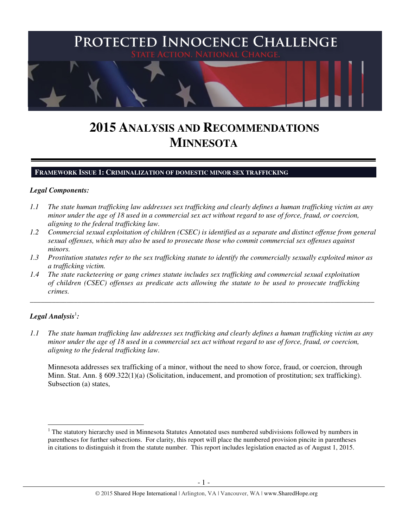

# **2015 ANALYSIS AND RECOMMENDATIONS MINNESOTA**

## **FRAMEWORK ISSUE 1: CRIMINALIZATION OF DOMESTIC MINOR SEX TRAFFICKING**

#### *Legal Components:*

- *1.1 The state human trafficking law addresses sex trafficking and clearly defines a human trafficking victim as any minor under the age of 18 used in a commercial sex act without regard to use of force, fraud, or coercion, aligning to the federal trafficking law.*
- *1.2 Commercial sexual exploitation of children (CSEC) is identified as a separate and distinct offense from general sexual offenses, which may also be used to prosecute those who commit commercial sex offenses against minors.*
- *1.3 Prostitution statutes refer to the sex trafficking statute to identify the commercially sexually exploited minor as a trafficking victim.*

\_\_\_\_\_\_\_\_\_\_\_\_\_\_\_\_\_\_\_\_\_\_\_\_\_\_\_\_\_\_\_\_\_\_\_\_\_\_\_\_\_\_\_\_\_\_\_\_\_\_\_\_\_\_\_\_\_\_\_\_\_\_\_\_\_\_\_\_\_\_\_\_\_\_\_\_\_\_\_\_\_\_\_\_\_\_\_\_\_\_\_\_\_\_

*1.4 The state racketeering or gang crimes statute includes sex trafficking and commercial sexual exploitation of children (CSEC) offenses as predicate acts allowing the statute to be used to prosecute trafficking crimes.* 

# $\bm{L}$ egal Analysis $^{\rm l}$ :

 $\overline{a}$ 

*1.1 The state human trafficking law addresses sex trafficking and clearly defines a human trafficking victim as any minor under the age of 18 used in a commercial sex act without regard to use of force, fraud, or coercion, aligning to the federal trafficking law.*

Minnesota addresses sex trafficking of a minor, without the need to show force, fraud, or coercion, through Minn. Stat. Ann. § 609.322(1)(a) (Solicitation, inducement, and promotion of prostitution; sex trafficking). Subsection (a) states,

<sup>&</sup>lt;sup>1</sup> The statutory hierarchy used in Minnesota Statutes Annotated uses numbered subdivisions followed by numbers in parentheses for further subsections. For clarity, this report will place the numbered provision pincite in parentheses in citations to distinguish it from the statute number. This report includes legislation enacted as of August 1, 2015.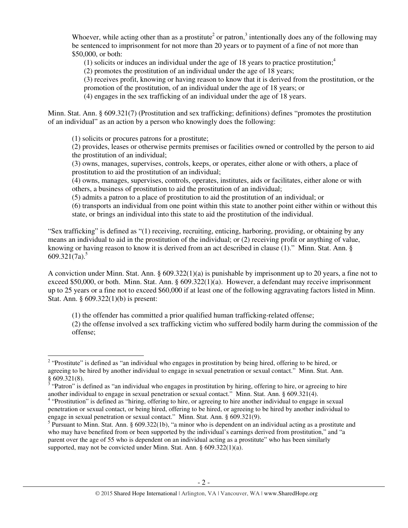Whoever, while acting other than as a prostitute<sup>2</sup> or patron,<sup>3</sup> intentionally does any of the following may be sentenced to imprisonment for not more than 20 years or to payment of a fine of not more than \$50,000, or both:

(1) solicits or induces an individual under the age of 18 years to practice prostitution; $<sup>4</sup>$ </sup>

(2) promotes the prostitution of an individual under the age of 18 years;

(3) receives profit, knowing or having reason to know that it is derived from the prostitution, or the

promotion of the prostitution, of an individual under the age of 18 years; or

(4) engages in the sex trafficking of an individual under the age of 18 years.

Minn. Stat. Ann. § 609.321(7) (Prostitution and sex trafficking; definitions) defines "promotes the prostitution of an individual" as an action by a person who knowingly does the following:

(1) solicits or procures patrons for a prostitute;

 $\overline{a}$ 

(2) provides, leases or otherwise permits premises or facilities owned or controlled by the person to aid the prostitution of an individual;

(3) owns, manages, supervises, controls, keeps, or operates, either alone or with others, a place of prostitution to aid the prostitution of an individual;

(4) owns, manages, supervises, controls, operates, institutes, aids or facilitates, either alone or with others, a business of prostitution to aid the prostitution of an individual;

(5) admits a patron to a place of prostitution to aid the prostitution of an individual; or

(6) transports an individual from one point within this state to another point either within or without this state, or brings an individual into this state to aid the prostitution of the individual.

"Sex trafficking" is defined as "(1) receiving, recruiting, enticing, harboring, providing, or obtaining by any means an individual to aid in the prostitution of the individual; or (2) receiving profit or anything of value, knowing or having reason to know it is derived from an act described in clause (1)." Minn. Stat. Ann. §  $609.321(7a)^5$ 

A conviction under Minn. Stat. Ann. § 609.322(1)(a) is punishable by imprisonment up to 20 years, a fine not to exceed \$50,000, or both. Minn. Stat. Ann. § 609.322(1)(a). However, a defendant may receive imprisonment up to 25 years or a fine not to exceed \$60,000 if at least one of the following aggravating factors listed in Minn. Stat. Ann. § 609.322(1)(b) is present:

(1) the offender has committed a prior qualified human trafficking-related offense;

(2) the offense involved a sex trafficking victim who suffered bodily harm during the commission of the offense;

<sup>&</sup>lt;sup>2</sup> "Prostitute" is defined as "an individual who engages in prostitution by being hired, offering to be hired, or agreeing to be hired by another individual to engage in sexual penetration or sexual contact." Minn. Stat. Ann.

<sup>§ 609.321(8).&</sup>lt;br><sup>3</sup> "Patron" is defined as "an individual who engages in prostitution by hiring, offering to hire, or agreeing to hire another individual to engage in sexual penetration or sexual contact." Minn. Stat. Ann. § 609.321(4).

<sup>&</sup>lt;sup>4</sup> "Prostitution" is defined as "hiring, offering to hire, or agreeing to hire another individual to engage in sexual penetration or sexual contact, or being hired, offering to be hired, or agreeing to be hired by another individual to engage in sexual penetration or sexual contact." Minn. Stat. Ann. § 609.321(9).

<sup>&</sup>lt;sup>5</sup> Pursuant to Minn. Stat. Ann. § 609.322(1b), "a minor who is dependent on an individual acting as a prostitute and who may have benefited from or been supported by the individual's earnings derived from prostitution," and "a parent over the age of 55 who is dependent on an individual acting as a prostitute" who has been similarly supported, may not be convicted under Minn. Stat. Ann. § 609.322(1)(a).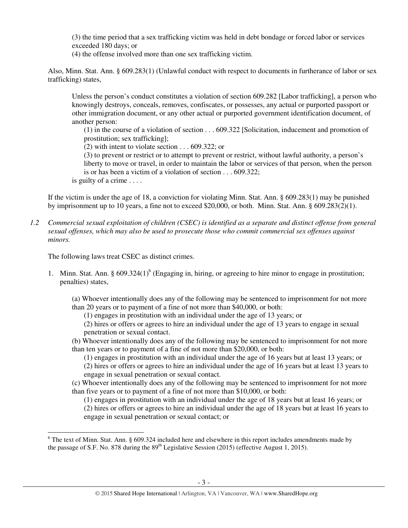(3) the time period that a sex trafficking victim was held in debt bondage or forced labor or services exceeded 180 days; or

(4) the offense involved more than one sex trafficking victim.

Also, Minn. Stat. Ann. § 609.283(1) (Unlawful conduct with respect to documents in furtherance of labor or sex trafficking) states,

Unless the person's conduct constitutes a violation of section 609.282 [Labor trafficking], a person who knowingly destroys, conceals, removes, confiscates, or possesses, any actual or purported passport or other immigration document, or any other actual or purported government identification document, of another person:

(1) in the course of a violation of section . . . 609.322 [Solicitation, inducement and promotion of prostitution; sex trafficking];

(2) with intent to violate section . . . 609.322; or

(3) to prevent or restrict or to attempt to prevent or restrict, without lawful authority, a person's liberty to move or travel, in order to maintain the labor or services of that person, when the person is or has been a victim of a violation of section . . . 609.322;

is guilty of a crime . . . .

l

If the victim is under the age of 18, a conviction for violating Minn. Stat. Ann. § 609.283(1) may be punished by imprisonment up to 10 years, a fine not to exceed \$20,000, or both. Minn. Stat. Ann. § 609.283(2)(1).

*1.2 Commercial sexual exploitation of children (CSEC) is identified as a separate and distinct offense from general sexual offenses, which may also be used to prosecute those who commit commercial sex offenses against minors.*

The following laws treat CSEC as distinct crimes.

1. Minn. Stat. Ann. §  $609.324(1)^6$  (Engaging in, hiring, or agreeing to hire minor to engage in prostitution; penalties) states,

(a) Whoever intentionally does any of the following may be sentenced to imprisonment for not more than 20 years or to payment of a fine of not more than \$40,000, or both:

(1) engages in prostitution with an individual under the age of 13 years; or

(2) hires or offers or agrees to hire an individual under the age of 13 years to engage in sexual penetration or sexual contact.

- (b) Whoever intentionally does any of the following may be sentenced to imprisonment for not more than ten years or to payment of a fine of not more than \$20,000, or both:
	- (1) engages in prostitution with an individual under the age of 16 years but at least 13 years; or
	- (2) hires or offers or agrees to hire an individual under the age of 16 years but at least 13 years to engage in sexual penetration or sexual contact.
- (c) Whoever intentionally does any of the following may be sentenced to imprisonment for not more than five years or to payment of a fine of not more than \$10,000, or both:
	- (1) engages in prostitution with an individual under the age of 18 years but at least 16 years; or (2) hires or offers or agrees to hire an individual under the age of 18 years but at least 16 years to engage in sexual penetration or sexual contact; or

 $6$  The text of Minn. Stat. Ann.  $\S 609.324$  included here and elsewhere in this report includes amendments made by the passage of S.F. No. 878 during the  $89<sup>th</sup>$  Legislative Session (2015) (effective August 1, 2015).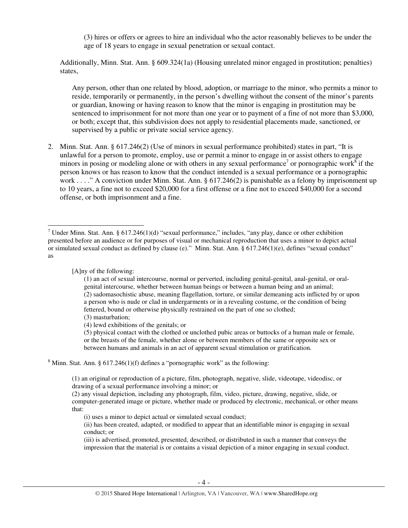(3) hires or offers or agrees to hire an individual who the actor reasonably believes to be under the age of 18 years to engage in sexual penetration or sexual contact.

Additionally, Minn. Stat. Ann. § 609.324(1a) (Housing unrelated minor engaged in prostitution; penalties) states,

Any person, other than one related by blood, adoption, or marriage to the minor, who permits a minor to reside, temporarily or permanently, in the person's dwelling without the consent of the minor's parents or guardian, knowing or having reason to know that the minor is engaging in prostitution may be sentenced to imprisonment for not more than one year or to payment of a fine of not more than \$3,000, or both; except that, this subdivision does not apply to residential placements made, sanctioned, or supervised by a public or private social service agency.

2. Minn. Stat. Ann. § 617.246(2) (Use of minors in sexual performance prohibited) states in part, "It is unlawful for a person to promote, employ, use or permit a minor to engage in or assist others to engage minors in posing or modeling alone or with others in any sexual performance<sup>7</sup> or pornographic work<sup>8</sup> if the person knows or has reason to know that the conduct intended is a sexual performance or a pornographic work . . . ." A conviction under Minn. Stat. Ann. § 617.246(2) is punishable as a felony by imprisonment up to 10 years, a fine not to exceed \$20,000 for a first offense or a fine not to exceed \$40,000 for a second offense, or both imprisonment and a fine.

[A]ny of the following:

l

(3) masturbation;

(1) an original or reproduction of a picture, film, photograph, negative, slide, videotape, videodisc, or drawing of a sexual performance involving a minor; or

<sup>&</sup>lt;sup>7</sup> Under Minn. Stat. Ann. § 617.246(1)(d) "sexual performance," includes, "any play, dance or other exhibition presented before an audience or for purposes of visual or mechanical reproduction that uses a minor to depict actual or simulated sexual conduct as defined by clause (e)." Minn. Stat. Ann. § 617.246(1)(e), defines "sexual conduct" as

<sup>(1)</sup> an act of sexual intercourse, normal or perverted, including genital-genital, anal-genital, or oralgenital intercourse, whether between human beings or between a human being and an animal; (2) sadomasochistic abuse, meaning flagellation, torture, or similar demeaning acts inflicted by or upon a person who is nude or clad in undergarments or in a revealing costume, or the condition of being fettered, bound or otherwise physically restrained on the part of one so clothed;

<sup>(4)</sup> lewd exhibitions of the genitals; or

<sup>(5)</sup> physical contact with the clothed or unclothed pubic areas or buttocks of a human male or female, or the breasts of the female, whether alone or between members of the same or opposite sex or between humans and animals in an act of apparent sexual stimulation or gratification.

 $8$  Minn. Stat. Ann.  $§ 617.246(1)(f)$  defines a "pornographic work" as the following:

<sup>(2)</sup> any visual depiction, including any photograph, film, video, picture, drawing, negative, slide, or computer-generated image or picture, whether made or produced by electronic, mechanical, or other means that:

<sup>(</sup>i) uses a minor to depict actual or simulated sexual conduct;

<sup>(</sup>ii) has been created, adapted, or modified to appear that an identifiable minor is engaging in sexual conduct; or

<sup>(</sup>iii) is advertised, promoted, presented, described, or distributed in such a manner that conveys the impression that the material is or contains a visual depiction of a minor engaging in sexual conduct.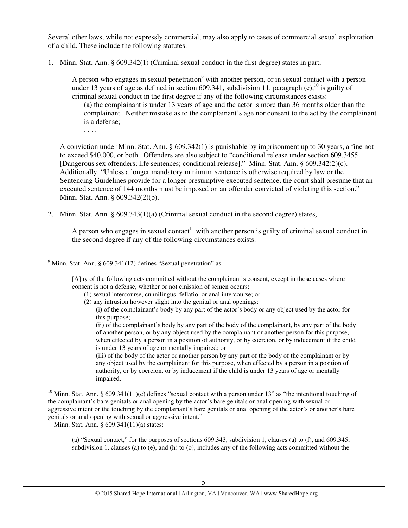Several other laws, while not expressly commercial, may also apply to cases of commercial sexual exploitation of a child. These include the following statutes:

1. Minn. Stat. Ann. § 609.342(1) (Criminal sexual conduct in the first degree) states in part,

A person who engages in sexual penetration<sup>9</sup> with another person, or in sexual contact with a person under 13 years of age as defined in section 609.341, subdivision 11, paragraph (c), <sup>10</sup> is guilty of criminal sexual conduct in the first degree if any of the following circumstances exists:

(a) the complainant is under 13 years of age and the actor is more than 36 months older than the complainant. Neither mistake as to the complainant's age nor consent to the act by the complainant is a defense;

. . . .

 $\overline{a}$ 

A conviction under Minn. Stat. Ann. § 609.342(1) is punishable by imprisonment up to 30 years, a fine not to exceed \$40,000, or both. Offenders are also subject to "conditional release under section 609.3455 [Dangerous sex offenders; life sentences; conditional release]." Minn. Stat. Ann. § 609.342(2)(c). Additionally, "Unless a longer mandatory minimum sentence is otherwise required by law or the Sentencing Guidelines provide for a longer presumptive executed sentence, the court shall presume that an executed sentence of 144 months must be imposed on an offender convicted of violating this section." Minn. Stat. Ann. § 609.342(2)(b).

2. Minn. Stat. Ann. § 609.343(1)(a) (Criminal sexual conduct in the second degree) states,

A person who engages in sexual contact<sup>11</sup> with another person is guilty of criminal sexual conduct in the second degree if any of the following circumstances exists:

[A]ny of the following acts committed without the complainant's consent, except in those cases where consent is not a defense, whether or not emission of semen occurs:

- (1) sexual intercourse, cunnilingus, fellatio, or anal intercourse; or
- (2) any intrusion however slight into the genital or anal openings:
	- (i) of the complainant's body by any part of the actor's body or any object used by the actor for this purpose;

(ii) of the complainant's body by any part of the body of the complainant, by any part of the body of another person, or by any object used by the complainant or another person for this purpose, when effected by a person in a position of authority, or by coercion, or by inducement if the child is under 13 years of age or mentally impaired; or

(iii) of the body of the actor or another person by any part of the body of the complainant or by any object used by the complainant for this purpose, when effected by a person in a position of authority, or by coercion, or by inducement if the child is under 13 years of age or mentally impaired.

<sup>10</sup> Minn. Stat. Ann. § 609.341(11)(c) defines "sexual contact with a person under 13" as "the intentional touching of the complainant's bare genitals or anal opening by the actor's bare genitals or anal opening with sexual or aggressive intent or the touching by the complainant's bare genitals or anal opening of the actor's or another's bare genitals or anal opening with sexual or aggressive intent."

<sup>11</sup> Minn. Stat. Ann. § 609.341(11)(a) states:

(a) "Sexual contact," for the purposes of sections 609.343, subdivision 1, clauses (a) to (f), and 609.345, subdivision 1, clauses (a) to (e), and (h) to (o), includes any of the following acts committed without the

 $9$  Minn. Stat. Ann. § 609.341(12) defines "Sexual penetration" as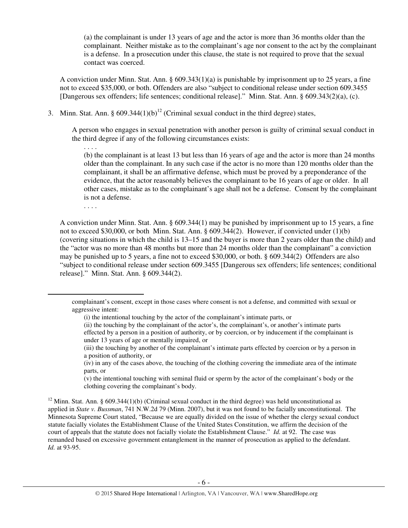(a) the complainant is under 13 years of age and the actor is more than 36 months older than the complainant. Neither mistake as to the complainant's age nor consent to the act by the complainant is a defense. In a prosecution under this clause, the state is not required to prove that the sexual contact was coerced.

A conviction under Minn. Stat. Ann.  $\S 609.343(1)(a)$  is punishable by imprisonment up to 25 years, a fine not to exceed \$35,000, or both. Offenders are also "subject to conditional release under section 609.3455 [Dangerous sex offenders; life sentences; conditional release]." Minn. Stat. Ann. § 609.343(2)(a), (c).

3. Minn. Stat. Ann. §  $609.344(1)(b)^{12}$  (Criminal sexual conduct in the third degree) states,

A person who engages in sexual penetration with another person is guilty of criminal sexual conduct in the third degree if any of the following circumstances exists:

(b) the complainant is at least 13 but less than 16 years of age and the actor is more than 24 months older than the complainant. In any such case if the actor is no more than 120 months older than the complainant, it shall be an affirmative defense, which must be proved by a preponderance of the evidence, that the actor reasonably believes the complainant to be 16 years of age or older. In all other cases, mistake as to the complainant's age shall not be a defense. Consent by the complainant is not a defense.

. . . .

l

. . . .

A conviction under Minn. Stat. Ann. § 609.344(1) may be punished by imprisonment up to 15 years, a fine not to exceed \$30,000, or both Minn. Stat. Ann. § 609.344(2). However, if convicted under (1)(b) (covering situations in which the child is 13–15 and the buyer is more than 2 years older than the child) and the "actor was no more than 48 months but more than 24 months older than the complainant" a conviction may be punished up to 5 years, a fine not to exceed \$30,000, or both. § 609.344(2) Offenders are also "subject to conditional release under section 609.3455 [Dangerous sex offenders; life sentences; conditional release]." Minn. Stat. Ann. § 609.344(2).

complainant's consent, except in those cases where consent is not a defense, and committed with sexual or aggressive intent:

<sup>(</sup>i) the intentional touching by the actor of the complainant's intimate parts, or

<sup>(</sup>ii) the touching by the complainant of the actor's, the complainant's, or another's intimate parts

effected by a person in a position of authority, or by coercion, or by inducement if the complainant is under 13 years of age or mentally impaired, or

<sup>(</sup>iii) the touching by another of the complainant's intimate parts effected by coercion or by a person in a position of authority, or

<sup>(</sup>iv) in any of the cases above, the touching of the clothing covering the immediate area of the intimate parts, or

<sup>(</sup>v) the intentional touching with seminal fluid or sperm by the actor of the complainant's body or the clothing covering the complainant's body.

<sup>&</sup>lt;sup>12</sup> Minn. Stat. Ann. § 609.344(1)(b) (Criminal sexual conduct in the third degree) was held unconstitutional as applied in *State v. Bussman*, 741 N.W.2d 79 (Minn. 2007), but it was not found to be facially unconstitutional. The Minnesota Supreme Court stated, "Because we are equally divided on the issue of whether the clergy sexual conduct statute facially violates the Establishment Clause of the United States Constitution, we affirm the decision of the court of appeals that the statute does not facially violate the Establishment Clause." *Id.* at 92. The case was remanded based on excessive government entanglement in the manner of prosecution as applied to the defendant. *Id.* at 93-95.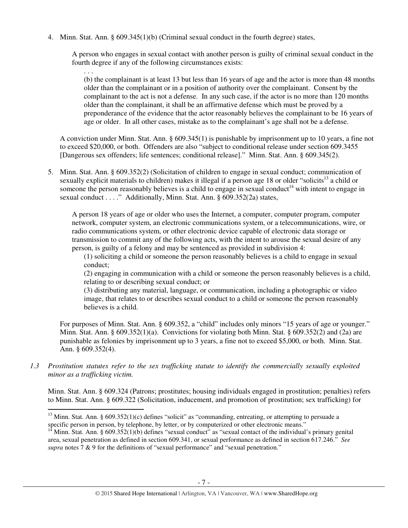4. Minn. Stat. Ann. § 609.345(1)(b) (Criminal sexual conduct in the fourth degree) states,

. . .

A person who engages in sexual contact with another person is guilty of criminal sexual conduct in the fourth degree if any of the following circumstances exists:

(b) the complainant is at least 13 but less than 16 years of age and the actor is more than 48 months older than the complainant or in a position of authority over the complainant. Consent by the complainant to the act is not a defense. In any such case, if the actor is no more than 120 months older than the complainant, it shall be an affirmative defense which must be proved by a preponderance of the evidence that the actor reasonably believes the complainant to be 16 years of age or older. In all other cases, mistake as to the complainant's age shall not be a defense.

A conviction under Minn. Stat. Ann. § 609.345(1) is punishable by imprisonment up to 10 years, a fine not to exceed \$20,000, or both. Offenders are also "subject to conditional release under section 609.3455 [Dangerous sex offenders; life sentences; conditional release]." Minn. Stat. Ann. § 609.345(2).

5. Minn. Stat. Ann. § 609.352(2) (Solicitation of children to engage in sexual conduct; communication of sexually explicit materials to children) makes it illegal if a person age 18 or older "solicits<sup>13</sup> a child or someone the person reasonably believes is a child to engage in sexual conduct<sup>14</sup> with intent to engage in sexual conduct . . . ." Additionally, Minn. Stat. Ann. § 609.352(2a) states,

A person 18 years of age or older who uses the Internet, a computer, computer program, computer network, computer system, an electronic communications system, or a telecommunications, wire, or radio communications system, or other electronic device capable of electronic data storage or transmission to commit any of the following acts, with the intent to arouse the sexual desire of any person, is guilty of a felony and may be sentenced as provided in subdivision 4:

(1) soliciting a child or someone the person reasonably believes is a child to engage in sexual conduct;

(2) engaging in communication with a child or someone the person reasonably believes is a child, relating to or describing sexual conduct; or

(3) distributing any material, language, or communication, including a photographic or video image, that relates to or describes sexual conduct to a child or someone the person reasonably believes is a child.

For purposes of Minn. Stat. Ann. § 609.352, a "child" includes only minors "15 years of age or younger." Minn. Stat. Ann. § 609.352(1)(a). Convictions for violating both Minn. Stat. § 609.352(2) and (2a) are punishable as felonies by imprisonment up to 3 years, a fine not to exceed \$5,000, or both. Minn. Stat. Ann. § 609.352(4).

*1.3 Prostitution statutes refer to the sex trafficking statute to identify the commercially sexually exploited minor as a trafficking victim.* 

Minn. Stat. Ann. § 609.324 (Patrons; prostitutes; housing individuals engaged in prostitution; penalties) refers to Minn. Stat. Ann. § 609.322 (Solicitation, inducement, and promotion of prostitution; sex trafficking) for  $\overline{a}$ 

<sup>&</sup>lt;sup>13</sup> Minn. Stat. Ann. § 609.352(1)(c) defines "solicit" as "commanding, entreating, or attempting to persuade a specific person in person, by telephone, by letter, or by computerized or other electronic means."

<sup>&</sup>lt;sup>14</sup> Minn. Stat. Ann. § 609.352(1)(b) defines "sexual conduct" as "sexual contact of the individual's primary genital area, sexual penetration as defined in section 609.341, or sexual performance as defined in section 617.246." *See supra* notes 7 & 9 for the definitions of "sexual performance" and "sexual penetration."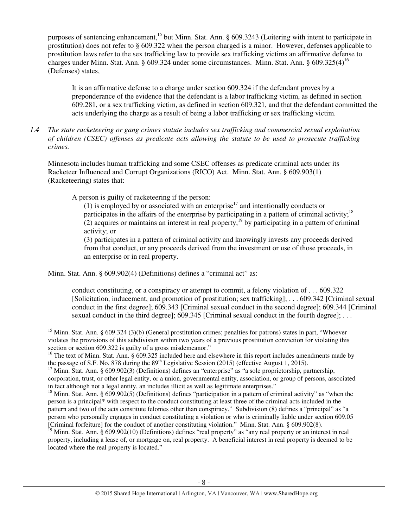purposes of sentencing enhancement,<sup>15</sup> but Minn. Stat. Ann. § 609.3243 (Loitering with intent to participate in prostitution) does not refer to § 609.322 when the person charged is a minor. However, defenses applicable to prostitution laws refer to the sex trafficking law to provide sex trafficking victims an affirmative defense to charges under Minn. Stat. Ann. § 609.324 under some circumstances. Minn. Stat. Ann. § 609.325(4)<sup>16</sup> (Defenses) states,

It is an affirmative defense to a charge under section 609.324 if the defendant proves by a preponderance of the evidence that the defendant is a labor trafficking victim, as defined in section 609.281, or a sex trafficking victim, as defined in section 609.321, and that the defendant committed the acts underlying the charge as a result of being a labor trafficking or sex trafficking victim.

*1.4 The state racketeering or gang crimes statute includes sex trafficking and commercial sexual exploitation of children (CSEC) offenses as predicate acts allowing the statute to be used to prosecute trafficking crimes.* 

Minnesota includes human trafficking and some CSEC offenses as predicate criminal acts under its Racketeer Influenced and Corrupt Organizations (RICO) Act. Minn. Stat. Ann. § 609.903(1) (Racketeering) states that:

A person is guilty of racketeering if the person:

(1) is employed by or associated with an enterprise<sup>17</sup> and intentionally conducts or participates in the affairs of the enterprise by participating in a pattern of criminal activity;<sup>18</sup> (2) acquires or maintains an interest in real property,<sup>19</sup> by participating in a pattern of criminal activity; or

(3) participates in a pattern of criminal activity and knowingly invests any proceeds derived from that conduct, or any proceeds derived from the investment or use of those proceeds, in an enterprise or in real property.

Minn. Stat. Ann. § 609.902(4) (Definitions) defines a "criminal act" as:

 $\overline{a}$ 

conduct constituting, or a conspiracy or attempt to commit, a felony violation of . . . 609.322 [Solicitation, inducement, and promotion of prostitution; sex trafficking]; . . . 609.342 [Criminal sexual conduct in the first degree]; 609.343 [Criminal sexual conduct in the second degree]; 609.344 [Criminal sexual conduct in the third degree]; 609.345 [Criminal sexual conduct in the fourth degree]; ...

<sup>&</sup>lt;sup>15</sup> Minn. Stat. Ann. § 609.324 (3)(b) (General prostitution crimes; penalties for patrons) states in part, "Whoever violates the provisions of this subdivision within two years of a previous prostitution conviction for violating this section or section 609.322 is guilty of a gross misdemeanor."

<sup>&</sup>lt;sup>16</sup> The text of Minn. Stat. Ann. § 609.325 included here and elsewhere in this report includes amendments made by the passage of S.F. No. 878 during the 89<sup>th</sup> Legislative Session (2015) (effective August 1, 2015).

<sup>&</sup>lt;sup>17</sup> Minn. Stat. Ann. § 609.902(3) (Definitions) defines an "enterprise" as "a sole proprietorship, partnership, corporation, trust, or other legal entity, or a union, governmental entity, association, or group of persons, associated in fact although not a legal entity, an includes illicit as well as legitimate enterprises."

<sup>&</sup>lt;sup>18</sup> Minn. Stat. Ann. § 609.902(5) (Definitions) defines "participation in a pattern of criminal activity" as "when the person is a principal\* with respect to the conduct constituting at least three of the criminal acts included in the pattern and two of the acts constitute felonies other than conspiracy." Subdivision (8) defines a "principal" as "a person who personally engages in conduct constituting a violation or who is criminally liable under section 609.05 [Criminal forfeiture] for the conduct of another constituting violation." Minn. Stat. Ann. § 609.902(8).

 $19$  Minn. Stat. Ann. § 609.902(10) (Definitions) defines "real property" as "any real property or an interest in real property, including a lease of, or mortgage on, real property. A beneficial interest in real property is deemed to be located where the real property is located."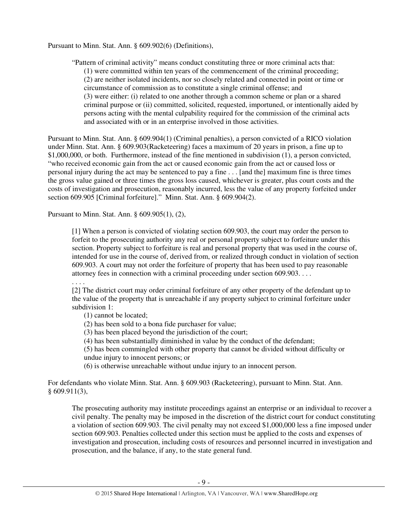Pursuant to Minn. Stat. Ann. § 609.902(6) (Definitions),

"Pattern of criminal activity" means conduct constituting three or more criminal acts that: (1) were committed within ten years of the commencement of the criminal proceeding; (2) are neither isolated incidents, nor so closely related and connected in point or time or circumstance of commission as to constitute a single criminal offense; and (3) were either: (i) related to one another through a common scheme or plan or a shared criminal purpose or (ii) committed, solicited, requested, importuned, or intentionally aided by persons acting with the mental culpability required for the commission of the criminal acts and associated with or in an enterprise involved in those activities.

Pursuant to Minn. Stat. Ann. § 609.904(1) (Criminal penalties), a person convicted of a RICO violation under Minn. Stat. Ann. § 609.903(Racketeering) faces a maximum of 20 years in prison, a fine up to \$1,000,000, or both. Furthermore, instead of the fine mentioned in subdivision (1), a person convicted, "who received economic gain from the act or caused economic gain from the act or caused loss or personal injury during the act may be sentenced to pay a fine . . . [and the] maximum fine is three times the gross value gained or three times the gross loss caused, whichever is greater, plus court costs and the costs of investigation and prosecution, reasonably incurred, less the value of any property forfeited under section 609.905 [Criminal forfeiture]." Minn. Stat. Ann. § 609.904(2).

Pursuant to Minn. Stat. Ann. § 609.905(1), (2),

[1] When a person is convicted of violating section 609.903, the court may order the person to forfeit to the prosecuting authority any real or personal property subject to forfeiture under this section. Property subject to forfeiture is real and personal property that was used in the course of, intended for use in the course of, derived from, or realized through conduct in violation of section 609.903. A court may not order the forfeiture of property that has been used to pay reasonable attorney fees in connection with a criminal proceeding under section 609.903. . . .

. . . .

[2] The district court may order criminal forfeiture of any other property of the defendant up to the value of the property that is unreachable if any property subject to criminal forfeiture under subdivision 1:

- (1) cannot be located;
- (2) has been sold to a bona fide purchaser for value;
- (3) has been placed beyond the jurisdiction of the court;
- (4) has been substantially diminished in value by the conduct of the defendant;

(5) has been commingled with other property that cannot be divided without difficulty or undue injury to innocent persons; or

(6) is otherwise unreachable without undue injury to an innocent person.

For defendants who violate Minn. Stat. Ann. § 609.903 (Racketeering), pursuant to Minn. Stat. Ann. § 609.911(3),

The prosecuting authority may institute proceedings against an enterprise or an individual to recover a civil penalty. The penalty may be imposed in the discretion of the district court for conduct constituting a violation of section 609.903. The civil penalty may not exceed \$1,000,000 less a fine imposed under section 609.903. Penalties collected under this section must be applied to the costs and expenses of investigation and prosecution, including costs of resources and personnel incurred in investigation and prosecution, and the balance, if any, to the state general fund.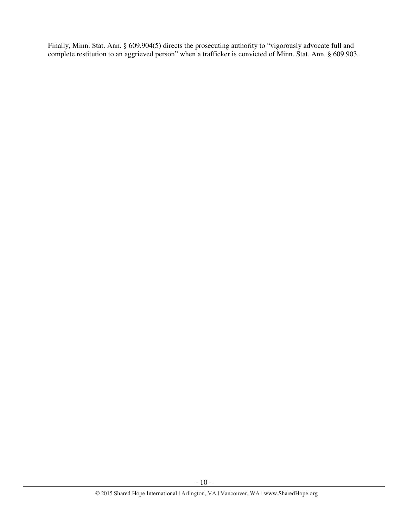Finally, Minn. Stat. Ann. § 609.904(5) directs the prosecuting authority to "vigorously advocate full and complete restitution to an aggrieved person" when a trafficker is convicted of Minn. Stat. Ann. § 609.903.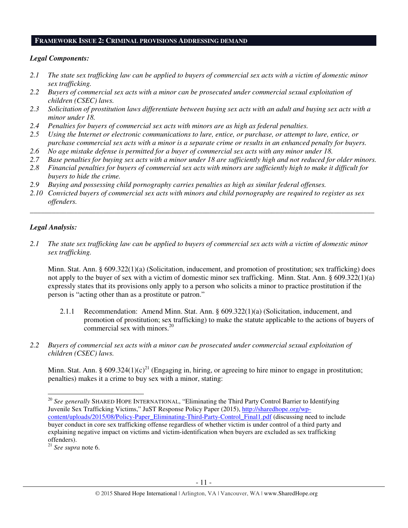#### **FRAMEWORK ISSUE 2: CRIMINAL PROVISIONS ADDRESSING DEMAND**

## *Legal Components:*

- *2.1 The state sex trafficking law can be applied to buyers of commercial sex acts with a victim of domestic minor sex trafficking.*
- *2.2 Buyers of commercial sex acts with a minor can be prosecuted under commercial sexual exploitation of children (CSEC) laws.*
- *2.3 Solicitation of prostitution laws differentiate between buying sex acts with an adult and buying sex acts with a minor under 18.*
- *2.4 Penalties for buyers of commercial sex acts with minors are as high as federal penalties.*
- *2.5 Using the Internet or electronic communications to lure, entice, or purchase, or attempt to lure, entice, or purchase commercial sex acts with a minor is a separate crime or results in an enhanced penalty for buyers.*
- *2.6 No age mistake defense is permitted for a buyer of commercial sex acts with any minor under 18.*
- *2.7 Base penalties for buying sex acts with a minor under 18 are sufficiently high and not reduced for older minors.*
- *2.8 Financial penalties for buyers of commercial sex acts with minors are sufficiently high to make it difficult for buyers to hide the crime.*
- *2.9 Buying and possessing child pornography carries penalties as high as similar federal offenses.*
- *2.10 Convicted buyers of commercial sex acts with minors and child pornography are required to register as sex offenders.*

\_\_\_\_\_\_\_\_\_\_\_\_\_\_\_\_\_\_\_\_\_\_\_\_\_\_\_\_\_\_\_\_\_\_\_\_\_\_\_\_\_\_\_\_\_\_\_\_\_\_\_\_\_\_\_\_\_\_\_\_\_\_\_\_\_\_\_\_\_\_\_\_\_\_\_\_\_\_\_\_\_\_\_\_\_\_\_\_\_\_\_\_\_\_

## *Legal Analysis:*

*2.1 The state sex trafficking law can be applied to buyers of commercial sex acts with a victim of domestic minor sex trafficking.*

Minn. Stat. Ann. § 609.322(1)(a) (Solicitation, inducement, and promotion of prostitution; sex trafficking) does not apply to the buyer of sex with a victim of domestic minor sex trafficking. Minn. Stat. Ann. § 609.322(1)(a) expressly states that its provisions only apply to a person who solicits a minor to practice prostitution if the person is "acting other than as a prostitute or patron."

- 2.1.1 Recommendation: Amend Minn. Stat. Ann. § 609.322(1)(a) (Solicitation, inducement, and promotion of prostitution; sex trafficking) to make the statute applicable to the actions of buyers of commercial sex with minors. $^{20}$
- *2.2 Buyers of commercial sex acts with a minor can be prosecuted under commercial sexual exploitation of children (CSEC) laws.*

Minn. Stat. Ann. § 609.324(1)(c)<sup>21</sup> (Engaging in, hiring, or agreeing to hire minor to engage in prostitution; penalties) makes it a crime to buy sex with a minor, stating:

l

<sup>20</sup> *See generally* SHARED HOPE INTERNATIONAL, "Eliminating the Third Party Control Barrier to Identifying Juvenile Sex Trafficking Victims," JuST Response Policy Paper (2015), http://sharedhope.org/wpcontent/uploads/2015/08/Policy-Paper\_Eliminating-Third-Party-Control\_Final1.pdf (discussing need to include buyer conduct in core sex trafficking offense regardless of whether victim is under control of a third party and explaining negative impact on victims and victim-identification when buyers are excluded as sex trafficking offenders).

<sup>21</sup> *See supra* note 6.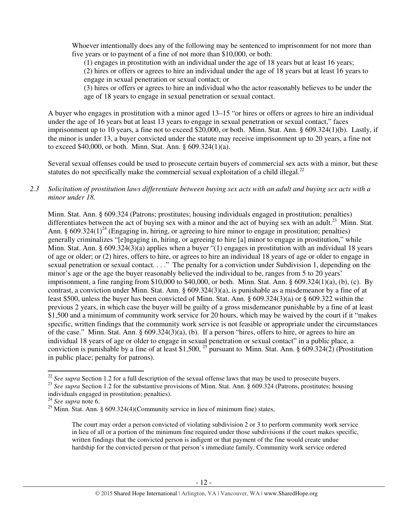Whoever intentionally does any of the following may be sentenced to imprisonment for not more than five years or to payment of a fine of not more than \$10,000, or both:

(1) engages in prostitution with an individual under the age of 18 years but at least 16 years;

(2) hires or offers or agrees to hire an individual under the age of 18 years but at least 16 years to engage in sexual penetration or sexual contact; or

(3) hires or offers or agrees to hire an individual who the actor reasonably believes to be under the age of 18 years to engage in sexual penetration or sexual contact.

A buyer who engages in prostitution with a minor aged 13–15 "or hires or offers or agrees to hire an individual under the age of 16 years but at least 13 years to engage in sexual penetration or sexual contact," faces imprisonment up to 10 years, a fine not to exceed \$20,000, or both. Minn. Stat. Ann. § 609.324(1)(b). Lastly, if the minor is under 13, a buyer convicted under the statute may receive imprisonment up to 20 years, a fine not to exceed \$40,000, or both. Minn. Stat. Ann. § 609.324(1)(a).

Several sexual offenses could be used to prosecute certain buyers of commercial sex acts with a minor, but these statutes do not specifically make the commercial sexual exploitation of a child illegal.<sup>22</sup>

# *2.3 Solicitation of prostitution laws differentiate between buying sex acts with an adult and buying sex acts with a minor under 18.*

Minn. Stat. Ann. § 609.324 (Patrons; prostitutes; housing individuals engaged in prostitution; penalties) differentiates between the act of buying sex with a minor and the act of buying sex with an adult.<sup>23</sup> Minn. Stat. Ann. § 609.324(1)<sup>24</sup> (Engaging in, hiring, or agreeing to hire minor to engage in prostitution; penalties) generally criminalizes "[e]ngaging in, hiring, or agreeing to hire [a] minor to engage in prostitution," while Minn. Stat. Ann. § 609.324(3)(a) applies when a buyer "(1) engages in prostitution with an individual 18 years of age or older; or (2) hires, offers to hire, or agrees to hire an individual 18 years of age or older to engage in sexual penetration or sexual contact. . . ." The penalty for a conviction under Subdivision 1, depending on the minor's age or the age the buyer reasonably believed the individual to be, ranges from 5 to 20 years' imprisonment, a fine ranging from \$10,000 to \$40,000, or both. Minn. Stat. Ann.  $\S 609.324(1)(a)$ , (b), (c). By contrast, a conviction under Minn. Stat. Ann. § 609.324(3)(a), is punishable as a misdemeanor by a fine of at least \$500, unless the buyer has been convicted of Minn. Stat. Ann. § 609.324(3)(a) or § 609.322 within the previous 2 years, in which case the buyer will be guilty of a gross misdemeanor punishable by a fine of at least \$1,500 and a minimum of community work service for 20 hours, which may be waived by the court if it "makes specific, written findings that the community work service is not feasible or appropriate under the circumstances of the case." Minn. Stat. Ann. § 609.324(3)(a), (b). If a person "hires, offers to hire, or agrees to hire an individual 18 years of age or older to engage in sexual penetration or sexual contact" in a public place, a conviction is punishable by a fine of at least \$1,500, <sup>25</sup> pursuant to Minn. Stat. Ann. § 609.324(2) (Prostitution in public place; penalty for patrons).

 $\overline{a}$ 

<sup>&</sup>lt;sup>22</sup> See supra Section 1.2 for a full description of the sexual offense laws that may be used to prosecute buyers.

<sup>&</sup>lt;sup>23</sup> See supra Section 1.2 for the substantive provisions of Minn. Stat. Ann. § 609.324 (Patrons, prostitutes; housing individuals engaged in prostitution; penalties).

<sup>24</sup> *See supra* note 6.

 $25$  Minn. Stat. Ann. § 609.324(4)(Community service in lieu of minimum fine) states,

The court may order a person convicted of violating subdivision 2 or 3 to perform community work service in lieu of all or a portion of the minimum fine required under those subdivisions if the court makes specific, written findings that the convicted person is indigent or that payment of the fine would create undue hardship for the convicted person or that person's immediate family. Community work service ordered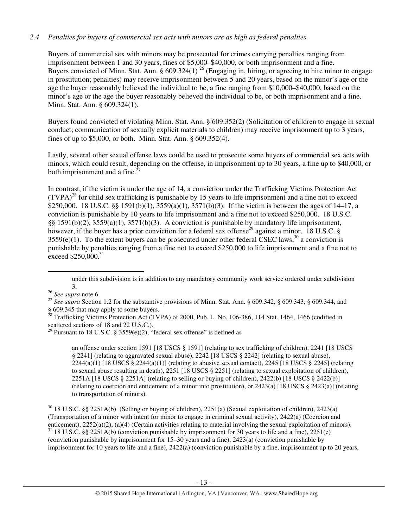# *2.4 Penalties for buyers of commercial sex acts with minors are as high as federal penalties.*

Buyers of commercial sex with minors may be prosecuted for crimes carrying penalties ranging from imprisonment between 1 and 30 years, fines of \$5,000–\$40,000, or both imprisonment and a fine. Buyers convicted of Minn. Stat. Ann.  $\S 609.324(1)^{26}$  (Engaging in, hiring, or agreeing to hire minor to engage in prostitution; penalties) may receive imprisonment between 5 and 20 years, based on the minor's age or the age the buyer reasonably believed the individual to be, a fine ranging from \$10,000–\$40,000, based on the minor's age or the age the buyer reasonably believed the individual to be, or both imprisonment and a fine. Minn. Stat. Ann. § 609.324(1).

Buyers found convicted of violating Minn. Stat. Ann. § 609.352(2) (Solicitation of children to engage in sexual conduct; communication of sexually explicit materials to children) may receive imprisonment up to 3 years, fines of up to \$5,000, or both. Minn. Stat. Ann. § 609.352(4).

Lastly, several other sexual offense laws could be used to prosecute some buyers of commercial sex acts with minors, which could result, depending on the offense, in imprisonment up to 30 years, a fine up to \$40,000, or both imprisonment and a fine.<sup>27</sup>

In contrast, if the victim is under the age of 14, a conviction under the Trafficking Victims Protection Act  $(TVPA)<sup>28</sup>$  for child sex trafficking is punishable by 15 years to life imprisonment and a fine not to exceed \$250,000. 18 U.S.C. §§ 1591(b)(1), 3559(a)(1), 3571(b)(3). If the victim is between the ages of 14–17, a conviction is punishable by 10 years to life imprisonment and a fine not to exceed \$250,000. 18 U.S.C. §§ 1591(b)(2), 3559(a)(1), 3571(b)(3). A conviction is punishable by mandatory life imprisonment, however, if the buyer has a prior conviction for a federal sex offense<sup>29</sup> against a minor. 18 U.S.C. §  $3559(e)(1)$ . To the extent buyers can be prosecuted under other federal CSEC laws,<sup>30</sup> a conviction is punishable by penalties ranging from a fine not to exceed \$250,000 to life imprisonment and a fine not to exceed  $$250,000.<sup>31</sup>$ 

 $\overline{a}$ 

an offense under section 1591 [18 USCS § 1591] (relating to sex trafficking of children), 2241 [18 USCS § 2241] (relating to aggravated sexual abuse), 2242 [18 USCS § 2242] (relating to sexual abuse), 2244(a)(1) [18 USCS § 2244(a)(1)] (relating to abusive sexual contact), 2245 [18 USCS § 2245] (relating to sexual abuse resulting in death), 2251 [18 USCS § 2251] (relating to sexual exploitation of children), 2251A [18 USCS § 2251A] (relating to selling or buying of children), 2422(b) [18 USCS § 2422(b)] (relating to coercion and enticement of a minor into prostitution), or 2423(a) [18 USCS § 2423(a)] (relating to transportation of minors).

 $30\,$  18 U.S.C. §§ 2251A(b) (Selling or buying of children), 2251(a) (Sexual exploitation of children), 2423(a) (Transportation of a minor with intent for minor to engage in criminal sexual activity), 2422(a) (Coercion and enticement),  $2252(a)(2)$ ,  $(a)(4)$  (Certain activities relating to material involving the sexual exploitation of minors).  $31$  18 U.S.C. §§ 2251A(b) (conviction punishable by imprisonment for 30 years to life and a fine), 2251(e) (conviction punishable by imprisonment for 15–30 years and a fine), 2423(a) (conviction punishable by imprisonment for 10 years to life and a fine), 2422(a) (conviction punishable by a fine, imprisonment up to 20 years,

under this subdivision is in addition to any mandatory community work service ordered under subdivision 3.

<sup>26</sup> *See supra* note 6.

<sup>&</sup>lt;sup>27</sup> See supra Section 1.2 for the substantive provisions of Minn. Stat. Ann. § 609.342, § 609.343, § 609.344, and § 609.345 that may apply to some buyers.

 $^{28}$  Trafficking Victims Protection Act (TVPA) of 2000, Pub. L. No. 106-386, 114 Stat. 1464, 1466 (codified in scattered sections of 18 and 22 U.S.C.).

<sup>&</sup>lt;sup>29</sup> Pursuant to 18 U.S.C. § 3559(e)(2), "federal sex offense" is defined as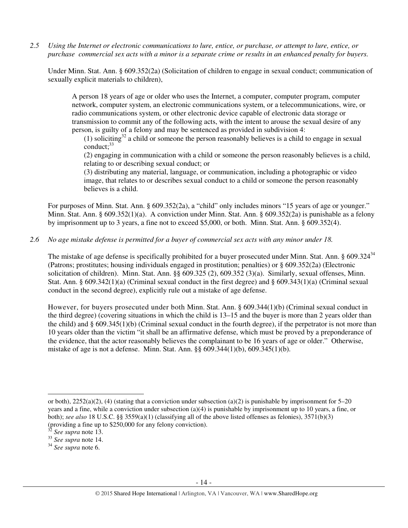*2.5 Using the Internet or electronic communications to lure, entice, or purchase, or attempt to lure, entice, or purchase commercial sex acts with a minor is a separate crime or results in an enhanced penalty for buyers.* 

Under Minn. Stat. Ann. § 609.352(2a) (Solicitation of children to engage in sexual conduct; communication of sexually explicit materials to children),

A person 18 years of age or older who uses the Internet, a computer, computer program, computer network, computer system, an electronic communications system, or a telecommunications, wire, or radio communications system, or other electronic device capable of electronic data storage or transmission to commit any of the following acts, with the intent to arouse the sexual desire of any person, is guilty of a felony and may be sentenced as provided in subdivision 4:

(1) soliciting<sup>32</sup> a child or someone the person reasonably believes is a child to engage in sexual conduct:<sup>33</sup>

(2) engaging in communication with a child or someone the person reasonably believes is a child, relating to or describing sexual conduct; or

(3) distributing any material, language, or communication, including a photographic or video image, that relates to or describes sexual conduct to a child or someone the person reasonably believes is a child.

For purposes of Minn. Stat. Ann. § 609.352(2a), a "child" only includes minors "15 years of age or younger." Minn. Stat. Ann. § 609.352(1)(a). A conviction under Minn. Stat. Ann. § 609.352(2a) is punishable as a felony by imprisonment up to 3 years, a fine not to exceed \$5,000, or both. Minn. Stat. Ann. § 609.352(4).

## *2.6 No age mistake defense is permitted for a buyer of commercial sex acts with any minor under 18.*

The mistake of age defense is specifically prohibited for a buyer prosecuted under Minn. Stat. Ann. § 609.324<sup>34</sup> (Patrons; prostitutes; housing individuals engaged in prostitution; penalties) or § 609.352(2a) (Electronic solicitation of children). Minn. Stat. Ann. §§ 609.325 (2), 609.352 (3)(a). Similarly, sexual offenses, Minn. Stat. Ann. § 609.342(1)(a) (Criminal sexual conduct in the first degree) and § 609.343(1)(a) (Criminal sexual conduct in the second degree), explicitly rule out a mistake of age defense.

However, for buyers prosecuted under both Minn. Stat. Ann. § 609.344(1)(b) (Criminal sexual conduct in the third degree) (covering situations in which the child is 13–15 and the buyer is more than 2 years older than the child) and §  $609.345(1)(b)$  (Criminal sexual conduct in the fourth degree), if the perpetrator is not more than 10 years older than the victim "it shall be an affirmative defense, which must be proved by a preponderance of the evidence, that the actor reasonably believes the complainant to be 16 years of age or older." Otherwise, mistake of age is not a defense. Minn. Stat. Ann. §§ 609.344(1)(b), 609.345(1)(b).

 $\overline{a}$ 

or both),  $2252(a)(2)$ , (4) (stating that a conviction under subsection (a)(2) is punishable by imprisonment for 5–20 years and a fine, while a conviction under subsection (a)(4) is punishable by imprisonment up to 10 years, a fine, or both); *see also* 18 U.S.C. §§ 3559(a)(1) (classifying all of the above listed offenses as felonies), 3571(b)(3) (providing a fine up to \$250,000 for any felony conviction).

<sup>32</sup> *See supra* note 13.

<sup>33</sup> *See supra* note 14.

<sup>34</sup> *See supra* note 6.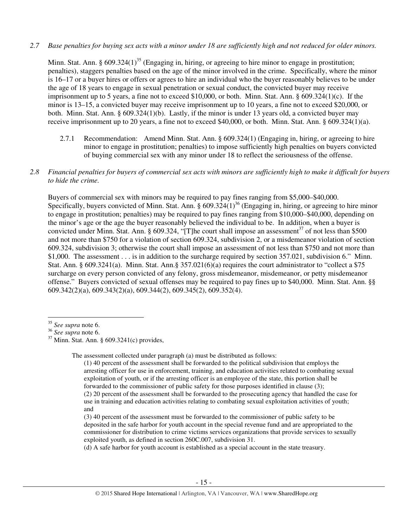## *2.7 Base penalties for buying sex acts with a minor under 18 are sufficiently high and not reduced for older minors.*

Minn. Stat. Ann. § 609.324(1)<sup>35</sup> (Engaging in, hiring, or agreeing to hire minor to engage in prostitution; penalties), staggers penalties based on the age of the minor involved in the crime. Specifically, where the minor is 16–17 or a buyer hires or offers or agrees to hire an individual who the buyer reasonably believes to be under the age of 18 years to engage in sexual penetration or sexual conduct, the convicted buyer may receive imprisonment up to 5 years, a fine not to exceed \$10,000, or both. Minn. Stat. Ann. § 609.324(1)(c). If the minor is 13–15, a convicted buyer may receive imprisonment up to 10 years, a fine not to exceed \$20,000, or both. Minn. Stat. Ann. § 609.324(1)(b). Lastly, if the minor is under 13 years old, a convicted buyer may receive imprisonment up to 20 years, a fine not to exceed \$40,000, or both. Minn. Stat. Ann. § 609.324(1)(a).

- 2.7.1 Recommendation: Amend Minn. Stat. Ann. § 609.324(1) (Engaging in, hiring, or agreeing to hire minor to engage in prostitution; penalties) to impose sufficiently high penalties on buyers convicted of buying commercial sex with any minor under 18 to reflect the seriousness of the offense.
- *2.8 Financial penalties for buyers of commercial sex acts with minors are sufficiently high to make it difficult for buyers to hide the crime.*

Buyers of commercial sex with minors may be required to pay fines ranging from \$5,000–\$40,000. Specifically, buyers convicted of Minn. Stat. Ann.  $\S 609.324(1)^{36}$  (Engaging in, hiring, or agreeing to hire minor to engage in prostitution; penalties) may be required to pay fines ranging from \$10,000–\$40,000, depending on the minor's age or the age the buyer reasonably believed the individual to be. In addition, when a buyer is convicted under Minn. Stat. Ann. § 609.324, "[T]he court shall impose an assessment<sup>37</sup> of not less than \$500 and not more than \$750 for a violation of section 609.324, subdivision 2, or a misdemeanor violation of section 609.324, subdivision 3; otherwise the court shall impose an assessment of not less than \$750 and not more than \$1,000. The assessment . . . is in addition to the surcharge required by section 357.021, subdivision 6." Minn. Stat. Ann. § 609.3241(a). Minn. Stat. Ann.§ 357.021(6)(a) requires the court administrator to "collect a \$75 surcharge on every person convicted of any felony, gross misdemeanor, misdemeanor, or petty misdemeanor offense." Buyers convicted of sexual offenses may be required to pay fines up to \$40,000. Minn. Stat. Ann. §§ 609.342(2)(a), 609.343(2)(a), 609.344(2), 609.345(2), 609.352(4).

 $\overline{a}$ 

The assessment collected under paragraph (a) must be distributed as follows:

(1) 40 percent of the assessment shall be forwarded to the political subdivision that employs the arresting officer for use in enforcement, training, and education activities related to combating sexual exploitation of youth, or if the arresting officer is an employee of the state, this portion shall be forwarded to the commissioner of public safety for those purposes identified in clause (3); (2) 20 percent of the assessment shall be forwarded to the prosecuting agency that handled the case for

<sup>35</sup> *See supra* note 6.

<sup>36</sup> *See supra* note 6.

 $37$  Minn. Stat. Ann. § 609.3241(c) provides,

use in training and education activities relating to combating sexual exploitation activities of youth; and

<sup>(3) 40</sup> percent of the assessment must be forwarded to the commissioner of public safety to be deposited in the safe harbor for youth account in the special revenue fund and are appropriated to the commissioner for distribution to crime victims services organizations that provide services to sexually exploited youth, as defined in section 260C.007, subdivision 31.

<sup>(</sup>d) A safe harbor for youth account is established as a special account in the state treasury.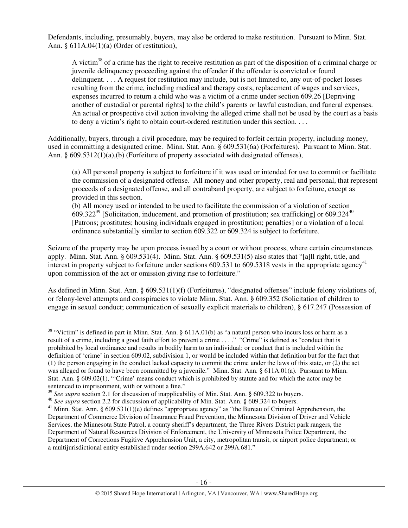Defendants, including, presumably, buyers, may also be ordered to make restitution. Pursuant to Minn. Stat. Ann. § 611A.04(1)(a) (Order of restitution),

A victim<sup>38</sup> of a crime has the right to receive restitution as part of the disposition of a criminal charge or juvenile delinquency proceeding against the offender if the offender is convicted or found delinquent. . . . A request for restitution may include, but is not limited to, any out-of-pocket losses resulting from the crime, including medical and therapy costs, replacement of wages and services, expenses incurred to return a child who was a victim of a crime under section 609.26 [Depriving another of custodial or parental rights] to the child's parents or lawful custodian, and funeral expenses. An actual or prospective civil action involving the alleged crime shall not be used by the court as a basis to deny a victim's right to obtain court-ordered restitution under this section. . . .

Additionally, buyers, through a civil procedure, may be required to forfeit certain property, including money, used in committing a designated crime. Minn. Stat. Ann. § 609.531(6a) (Forfeitures). Pursuant to Minn. Stat. Ann. § 609.5312(1)(a),(b) (Forfeiture of property associated with designated offenses),

(a) All personal property is subject to forfeiture if it was used or intended for use to commit or facilitate the commission of a designated offense. All money and other property, real and personal, that represent proceeds of a designated offense, and all contraband property, are subject to forfeiture, except as provided in this section.

(b) All money used or intended to be used to facilitate the commission of a violation of section  $609.322^{39}$  [Solicitation, inducement, and promotion of prostitution; sex trafficking] or  $609.324^{40}$ [Patrons; prostitutes; housing individuals engaged in prostitution; penalties] or a violation of a local ordinance substantially similar to section 609.322 or 609.324 is subject to forfeiture.

Seizure of the property may be upon process issued by a court or without process, where certain circumstances apply. Minn. Stat. Ann. § 609.531(4). Minn. Stat. Ann. § 609.531(5) also states that "[a]ll right, title, and interest in property subject to forfeiture under sections 609.531 to 609.5318 vests in the appropriate agency<sup>41</sup> upon commission of the act or omission giving rise to forfeiture."

As defined in Minn. Stat. Ann. § 609.531(1)(f) (Forfeitures), "designated offenses" include felony violations of, or felony-level attempts and conspiracies to violate Minn. Stat. Ann. § 609.352 (Solicitation of children to engage in sexual conduct; communication of sexually explicit materials to children), § 617.247 (Possession of

l

<sup>&</sup>lt;sup>38</sup> "Victim" is defined in part in Minn. Stat. Ann. § 611A.01(b) as "a natural person who incurs loss or harm as a result of a crime, including a good faith effort to prevent a crime . . . ." "Crime" is defined as "conduct that is prohibited by local ordinance and results in bodily harm to an individual; or conduct that is included within the definition of 'crime' in section 609.02, subdivision 1, or would be included within that definition but for the fact that (1) the person engaging in the conduct lacked capacity to commit the crime under the laws of this state, or (2) the act was alleged or found to have been committed by a juvenile." Minn. Stat. Ann. § 611A.01(a). Pursuant to Minn. Stat. Ann. § 609.02(1), "'Crime' means conduct which is prohibited by statute and for which the actor may be sentenced to imprisonment, with or without a fine."

<sup>&</sup>lt;sup>39</sup> *See supra section 2.1 for discussion of inapplicability of Min. Stat. Ann.* § 609.322 to buyers.

<sup>40</sup> *See supra* section 2.2 for discussion of applicability of Min. Stat. Ann. § 609.324 to buyers.

<sup>&</sup>lt;sup>41</sup> Minn. Stat. Ann. § 609.531(1)(e) defines "appropriate agency" as "the Bureau of Criminal Apprehension, the Department of Commerce Division of Insurance Fraud Prevention, the Minnesota Division of Driver and Vehicle Services, the Minnesota State Patrol, a county sheriff's department, the Three Rivers District park rangers, the Department of Natural Resources Division of Enforcement, the University of Minnesota Police Department, the Department of Corrections Fugitive Apprehension Unit, a city, metropolitan transit, or airport police department; or a multijurisdictional entity established under section 299A.642 or 299A.681."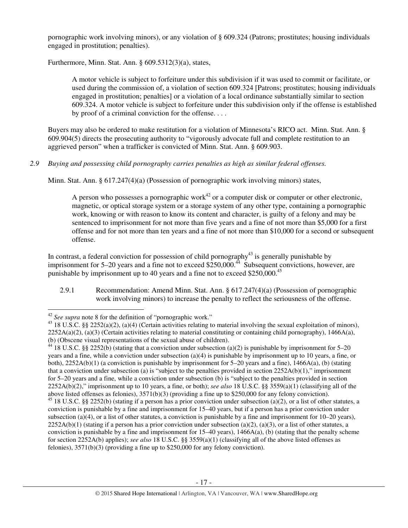pornographic work involving minors), or any violation of § 609.324 (Patrons; prostitutes; housing individuals engaged in prostitution; penalties).

Furthermore, Minn. Stat. Ann. § 609.5312(3)(a), states,

A motor vehicle is subject to forfeiture under this subdivision if it was used to commit or facilitate, or used during the commission of, a violation of section 609.324 [Patrons; prostitutes; housing individuals engaged in prostitution; penalties] or a violation of a local ordinance substantially similar to section 609.324. A motor vehicle is subject to forfeiture under this subdivision only if the offense is established by proof of a criminal conviction for the offense. . . .

Buyers may also be ordered to make restitution for a violation of Minnesota's RICO act. Minn. Stat. Ann. § 609.904(5) directs the prosecuting authority to "vigorously advocate full and complete restitution to an aggrieved person" when a trafficker is convicted of Minn. Stat. Ann. § 609.903.

## *2.9 Buying and possessing child pornography carries penalties as high as similar federal offenses.*

Minn. Stat. Ann. § 617.247(4)(a) (Possession of pornographic work involving minors) states,

A person who possesses a pornographic work $42$  or a computer disk or computer or other electronic, magnetic, or optical storage system or a storage system of any other type, containing a pornographic work, knowing or with reason to know its content and character, is guilty of a felony and may be sentenced to imprisonment for not more than five years and a fine of not more than \$5,000 for a first offense and for not more than ten years and a fine of not more than \$10,000 for a second or subsequent offense.

In contrast, a federal conviction for possession of child pornography<sup>43</sup> is generally punishable by imprisonment for 5–20 years and a fine not to exceed  $$250,000.<sup>44</sup>$  Subsequent convictions, however, are punishable by imprisonment up to 40 years and a fine not to exceed \$250,000.<sup>45</sup>

2.9.1 Recommendation: Amend Minn. Stat. Ann. § 617.247(4)(a) (Possession of pornographic work involving minors) to increase the penalty to reflect the seriousness of the offense.

l

<sup>42</sup> *See supra* note 8 for the definition of "pornographic work."

 $43$  18 U.S.C. §§ 2252(a)(2), (a)(4) (Certain activities relating to material involving the sexual exploitation of minors),  $2252A(a)(2)$ , (a)(3) (Certain activities relating to material constituting or containing child pornography), 1466A(a), (b) (Obscene visual representations of the sexual abuse of children).

<sup>&</sup>lt;sup>44</sup> 18 U.S.C. §§ 2252(b) (stating that a conviction under subsection (a)(2) is punishable by imprisonment for 5–20 years and a fine, while a conviction under subsection (a)(4) is punishable by imprisonment up to 10 years, a fine, or both), 2252A(b)(1) (a conviction is punishable by imprisonment for 5–20 years and a fine), 1466A(a), (b) (stating that a conviction under subsection (a) is "subject to the penalties provided in section  $2252A(b)(1)$ ," imprisonment for 5–20 years and a fine, while a conviction under subsection (b) is "subject to the penalties provided in section 2252A(b)(2)," imprisonment up to 10 years, a fine, or both); *see also* 18 U.S.C. §§ 3559(a)(1) (classifying all of the above listed offenses as felonies), 3571(b)(3) (providing a fine up to \$250,000 for any felony conviction).

<sup>&</sup>lt;sup>45</sup> 18 U.S.C. §§ 2252(b) (stating if a person has a prior conviction under subsection (a)(2), or a list of other statutes, a conviction is punishable by a fine and imprisonment for 15–40 years, but if a person has a prior conviction under subsection (a)(4), or a list of other statutes, a conviction is punishable by a fine and imprisonment for  $10-20$  years),  $2252A(b)(1)$  (stating if a person has a prior conviction under subsection (a)(2), (a)(3), or a list of other statutes, a conviction is punishable by a fine and imprisonment for  $15-40$  years),  $1466A(a)$ , (b) (stating that the penalty scheme for section 2252A(b) applies); *see also* 18 U.S.C. §§ 3559(a)(1) (classifying all of the above listed offenses as felonies), 3571(b)(3) (providing a fine up to \$250,000 for any felony conviction).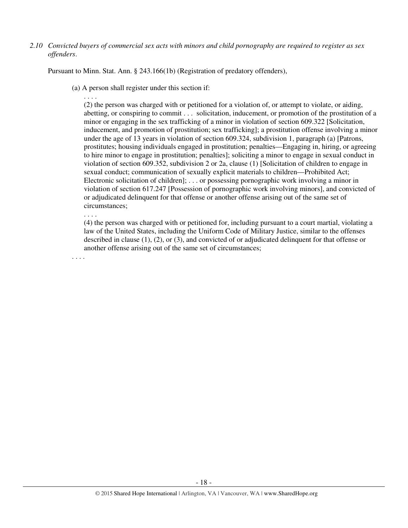## *2.10 Convicted buyers of commercial sex acts with minors and child pornography are required to register as sex offenders*.

Pursuant to Minn. Stat. Ann. § 243.166(1b) (Registration of predatory offenders),

(a) A person shall register under this section if:

. . . . (2) the person was charged with or petitioned for a violation of, or attempt to violate, or aiding, abetting, or conspiring to commit . . . solicitation, inducement, or promotion of the prostitution of a minor or engaging in the sex trafficking of a minor in violation of section 609.322 [Solicitation, inducement, and promotion of prostitution; sex trafficking]; a prostitution offense involving a minor under the age of 13 years in violation of section 609.324, subdivision 1, paragraph (a) [Patrons, prostitutes; housing individuals engaged in prostitution; penalties—Engaging in, hiring, or agreeing to hire minor to engage in prostitution; penalties]; soliciting a minor to engage in sexual conduct in violation of section 609.352, subdivision 2 or 2a, clause (1) [Solicitation of children to engage in sexual conduct; communication of sexually explicit materials to children—Prohibited Act; Electronic solicitation of children]; . . . or possessing pornographic work involving a minor in violation of section 617.247 [Possession of pornographic work involving minors], and convicted of or adjudicated delinquent for that offense or another offense arising out of the same set of circumstances;

. . . .

(4) the person was charged with or petitioned for, including pursuant to a court martial, violating a law of the United States, including the Uniform Code of Military Justice, similar to the offenses described in clause (1), (2), or (3), and convicted of or adjudicated delinquent for that offense or another offense arising out of the same set of circumstances;

. . . .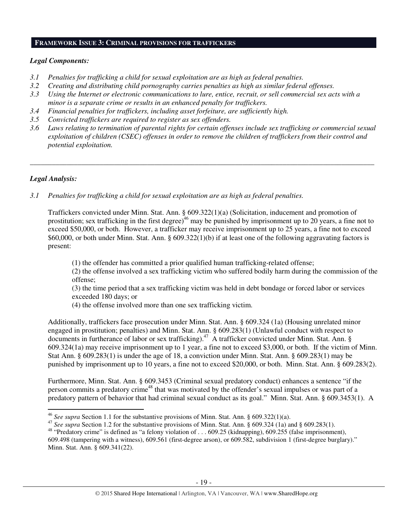#### **FRAMEWORK ISSUE 3: CRIMINAL PROVISIONS FOR TRAFFICKERS**

## *Legal Components:*

- *3.1 Penalties for trafficking a child for sexual exploitation are as high as federal penalties.*
- *3.2 Creating and distributing child pornography carries penalties as high as similar federal offenses.*
- *3.3 Using the Internet or electronic communications to lure, entice, recruit, or sell commercial sex acts with a minor is a separate crime or results in an enhanced penalty for traffickers.*
- *3.4 Financial penalties for traffickers, including asset forfeiture, are sufficiently high.*
- *3.5 Convicted traffickers are required to register as sex offenders.*
- *3.6 Laws relating to termination of parental rights for certain offenses include sex trafficking or commercial sexual exploitation of children (CSEC) offenses in order to remove the children of traffickers from their control and potential exploitation.*

*\_\_\_\_\_\_\_\_\_\_\_\_\_\_\_\_\_\_\_\_\_\_\_\_\_\_\_\_\_\_\_\_\_\_\_\_\_\_\_\_\_\_\_\_\_\_\_\_\_\_\_\_\_\_\_\_\_\_\_\_\_\_\_\_\_\_\_\_\_\_\_\_\_\_\_\_\_\_\_\_\_\_\_\_\_\_\_\_\_\_\_\_\_\_* 

# *Legal Analysis:*

l

*3.1 Penalties for trafficking a child for sexual exploitation are as high as federal penalties.* 

Traffickers convicted under Minn. Stat. Ann. § 609.322(1)(a) (Solicitation, inducement and promotion of prostitution; sex trafficking in the first degree)<sup>46</sup> may be punished by imprisonment up to 20 years, a fine not to exceed \$50,000, or both. However, a trafficker may receive imprisonment up to 25 years, a fine not to exceed \$60,000, or both under Minn. Stat. Ann. § 609.322(1)(b) if at least one of the following aggravating factors is present:

(1) the offender has committed a prior qualified human trafficking-related offense;

(2) the offense involved a sex trafficking victim who suffered bodily harm during the commission of the offense;

(3) the time period that a sex trafficking victim was held in debt bondage or forced labor or services exceeded 180 days; or

(4) the offense involved more than one sex trafficking victim.

Additionally, traffickers face prosecution under Minn. Stat. Ann. § 609.324 (1a) (Housing unrelated minor engaged in prostitution; penalties) and Minn. Stat. Ann. § 609.283(1) (Unlawful conduct with respect to documents in furtherance of labor or sex trafficking).<sup>47</sup> A trafficker convicted under Minn. Stat. Ann. § 609.324(1a) may receive imprisonment up to 1 year, a fine not to exceed \$3,000, or both. If the victim of Minn. Stat Ann. § 609.283(1) is under the age of 18, a conviction under Minn. Stat. Ann. § 609.283(1) may be punished by imprisonment up to 10 years, a fine not to exceed \$20,000, or both. Minn. Stat. Ann. § 609.283(2).

Furthermore, Minn. Stat. Ann. § 609.3453 (Criminal sexual predatory conduct) enhances a sentence "if the person commits a predatory crime<sup>48</sup> that was motivated by the offender's sexual impulses or was part of a predatory pattern of behavior that had criminal sexual conduct as its goal." Minn. Stat. Ann. § 609.3453(1). A

<sup>46</sup> *See supra* Section 1.1 for the substantive provisions of Minn. Stat. Ann. § 609.322(1)(a).

<sup>&</sup>lt;sup>47</sup> See supra Section 1.2 for the substantive provisions of Minn. Stat. Ann. § 609.324 (1a) and § 609.283(1).

<sup>&</sup>lt;sup>48</sup> "Predatory crime" is defined as "a felony violation of . . . 609.25 (kidnapping), 609.255 (false imprisonment), 609.498 (tampering with a witness), 609.561 (first-degree arson), or 609.582, subdivision 1 (first-degree burglary)." Minn. Stat. Ann. § 609.341(22).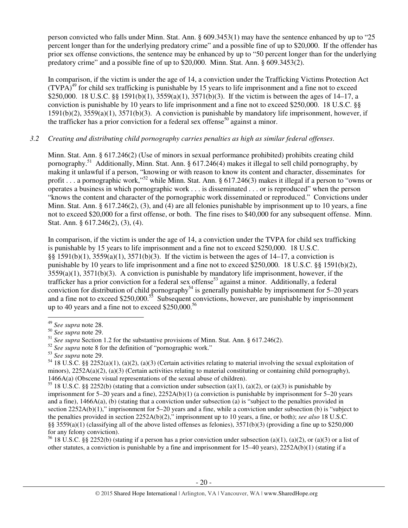person convicted who falls under Minn. Stat. Ann. § 609.3453(1) may have the sentence enhanced by up to "25 percent longer than for the underlying predatory crime" and a possible fine of up to \$20,000. If the offender has prior sex offense convictions, the sentence may be enhanced by up to "50 percent longer than for the underlying predatory crime" and a possible fine of up to \$20,000. Minn. Stat. Ann. § 609.3453(2).

In comparison, if the victim is under the age of 14, a conviction under the Trafficking Victims Protection Act  $(TVPA)<sup>49</sup>$  for child sex trafficking is punishable by 15 years to life imprisonment and a fine not to exceed \$250,000. 18 U.S.C. §§ 1591(b)(1), 3559(a)(1), 3571(b)(3). If the victim is between the ages of 14–17, a conviction is punishable by 10 years to life imprisonment and a fine not to exceed \$250,000. 18 U.S.C. §§ 1591(b)(2), 3559(a)(1), 3571(b)(3). A conviction is punishable by mandatory life imprisonment, however, if the trafficker has a prior conviction for a federal sex offense<sup>50</sup> against a minor.

# *3.2 Creating and distributing child pornography carries penalties as high as similar federal offenses*.

Minn. Stat. Ann. § 617.246(2) (Use of minors in sexual performance prohibited) prohibits creating child pornography.<sup>51</sup> Additionally, Minn. Stat. Ann. § 617.246(4) makes it illegal to sell child pornography, by making it unlawful if a person, "knowing or with reason to know its content and character, disseminates for profit . . . a pornographic work,"<sup>52</sup> while Minn. Stat. Ann. § 617.246(3) makes it illegal if a person to "owns or operates a business in which pornographic work . . . is disseminated . . . or is reproduced" when the person "knows the content and character of the pornographic work disseminated or reproduced." Convictions under Minn. Stat. Ann. § 617.246(2), (3), and (4) are all felonies punishable by imprisonment up to 10 years, a fine not to exceed \$20,000 for a first offense, or both. The fine rises to \$40,000 for any subsequent offense. Minn. Stat. Ann. § 617.246(2), (3), (4).

In comparison, if the victim is under the age of 14, a conviction under the TVPA for child sex trafficking is punishable by 15 years to life imprisonment and a fine not to exceed \$250,000. 18 U.S.C. §§ 1591(b)(1), 3559(a)(1), 3571(b)(3). If the victim is between the ages of 14–17, a conviction is punishable by 10 years to life imprisonment and a fine not to exceed \$250,000. 18 U.S.C. §§ 1591(b)(2),  $3559(a)(1)$ ,  $3571(b)(3)$ . A conviction is punishable by mandatory life imprisonment, however, if the trafficker has a prior conviction for a federal sex offense<sup>53</sup> against a minor. Additionally, a federal conviction for distribution of child pornography<sup>54</sup> is generally punishable by imprisonment for 5–20 years and a fine not to exceed  $$250,000$ .<sup>55</sup> Subsequent convictions, however, are punishable by imprisonment up to 40 years and a fine not to exceed  $$250,000.<sup>56</sup>$ l

<sup>56</sup> 18 U.S.C. §§ 2252(b) (stating if a person has a prior conviction under subsection (a)(1), (a)(2), or (a)(3) or a list of other statutes, a conviction is punishable by a fine and imprisonment for 15–40 years), 2252A(b)(1) (stating if a

<sup>49</sup> *See supra* note 28.

<sup>50</sup> *See supra* note 29.

<sup>51</sup> *See supra* Section 1.2 for the substantive provisions of Minn. Stat. Ann. § 617.246(2).

<sup>52</sup> *See supra* note 8 for the definition of "pornographic work."

<sup>53</sup> *See supra* note 29.

<sup>&</sup>lt;sup>54</sup> 18 U.S.C. §§ 2252(a)(1), (a)(2), (a)(3) (Certain activities relating to material involving the sexual exploitation of minors), 2252A(a)(2), (a)(3) (Certain activities relating to material constituting or containing child pornography), 1466A(a) (Obscene visual representations of the sexual abuse of children).

<sup>&</sup>lt;sup>55</sup> 18 U.S.C. §§ 2252(b) (stating that a conviction under subsection (a)(1), (a)(2), or (a)(3) is punishable by imprisonment for 5–20 years and a fine), 2252A(b)(1) (a conviction is punishable by imprisonment for 5–20 years and a fine), 1466A(a), (b) (stating that a conviction under subsection (a) is "subject to the penalties provided in section 2252A(b)(1)," imprisonment for 5–20 years and a fine, while a conviction under subsection (b) is "subject to the penalties provided in section 2252A(b)(2)," imprisonment up to 10 years, a fine, or both); *see also* 18 U.S.C. §§ 3559(a)(1) (classifying all of the above listed offenses as felonies),  $3571(b)(3)$  (providing a fine up to \$250,000 for any felony conviction).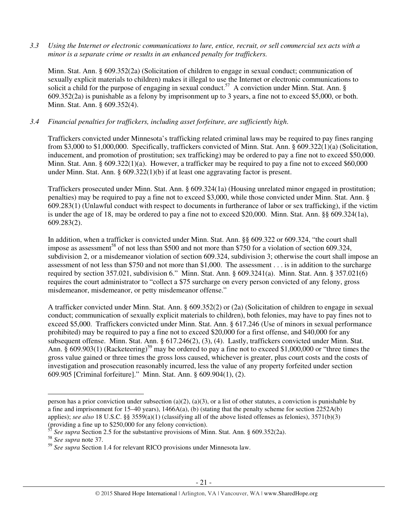*3.3 Using the Internet or electronic communications to lure, entice, recruit, or sell commercial sex acts with a minor is a separate crime or results in an enhanced penalty for traffickers.* 

Minn. Stat. Ann. § 609.352(2a) (Solicitation of children to engage in sexual conduct; communication of sexually explicit materials to children) makes it illegal to use the Internet or electronic communications to solicit a child for the purpose of engaging in sexual conduct.<sup>57</sup> A conviction under Minn. Stat. Ann. § 609.352(2a) is punishable as a felony by imprisonment up to 3 years, a fine not to exceed \$5,000, or both. Minn. Stat. Ann. § 609.352(4).

## *3.4 Financial penalties for traffickers, including asset forfeiture, are sufficiently high*.

Traffickers convicted under Minnesota's trafficking related criminal laws may be required to pay fines ranging from \$3,000 to \$1,000,000. Specifically, traffickers convicted of Minn. Stat. Ann. § 609.322(1)(a) (Solicitation, inducement, and promotion of prostitution; sex trafficking) may be ordered to pay a fine not to exceed \$50,000. Minn. Stat. Ann.  $\S 609.322(1)(a)$ . However, a trafficker may be required to pay a fine not to exceed \$60,000 under Minn. Stat. Ann. § 609.322(1)(b) if at least one aggravating factor is present.

Traffickers prosecuted under Minn. Stat. Ann. § 609.324(1a) (Housing unrelated minor engaged in prostitution; penalties) may be required to pay a fine not to exceed \$3,000, while those convicted under Minn. Stat. Ann. § 609.283(1) (Unlawful conduct with respect to documents in furtherance of labor or sex trafficking), if the victim is under the age of 18, may be ordered to pay a fine not to exceed \$20,000. Minn. Stat. Ann. §§ 609.324(1a), 609.283(2).

In addition, when a trafficker is convicted under Minn. Stat. Ann. §§ 609.322 or 609.324, "the court shall impose as assessment<sup>58</sup> of not less than \$500 and not more than \$750 for a violation of section 609.324, subdivision 2, or a misdemeanor violation of section 609.324, subdivision 3; otherwise the court shall impose an assessment of not less than \$750 and not more than \$1,000. The assessment . . . is in addition to the surcharge required by section 357.021, subdivision 6." Minn. Stat. Ann. § 609.3241(a). Minn. Stat. Ann. § 357.021(6) requires the court administrator to "collect a \$75 surcharge on every person convicted of any felony, gross misdemeanor, misdemeanor, or petty misdemeanor offense."

A trafficker convicted under Minn. Stat. Ann. § 609.352(2) or (2a) (Solicitation of children to engage in sexual conduct; communication of sexually explicit materials to children), both felonies, may have to pay fines not to exceed \$5,000. Traffickers convicted under Minn. Stat. Ann. § 617.246 (Use of minors in sexual performance prohibited) may be required to pay a fine not to exceed \$20,000 for a first offense, and \$40,000 for any subsequent offense. Minn. Stat. Ann. § 617.246(2), (3), (4). Lastly, traffickers convicted under Minn. Stat. Ann.  $\hat{\S}$  609.903(1) (Racketeering)<sup>59</sup> may be ordered to pay a fine not to exceed \$1,000,000 or "three times the gross value gained or three times the gross loss caused, whichever is greater, plus court costs and the costs of investigation and prosecution reasonably incurred, less the value of any property forfeited under section 609.905 [Criminal forfeiture]." Minn. Stat. Ann. § 609.904(1), (2).

 $\overline{a}$ 

person has a prior conviction under subsection (a)(2), (a)(3), or a list of other statutes, a conviction is punishable by a fine and imprisonment for  $15-40$  years),  $1466A(a)$ , (b) (stating that the penalty scheme for section  $2252A(b)$ applies); *see also* 18 U.S.C. §§ 3559(a)(1) (classifying all of the above listed offenses as felonies), 3571(b)(3) (providing a fine up to \$250,000 for any felony conviction).

<sup>57</sup> *See supra* Section 2.5 for the substantive provisions of Minn. Stat. Ann. § 609.352(2a).

<sup>58</sup> *See supra* note 37.

<sup>59</sup> *See supra* Section 1.4 for relevant RICO provisions under Minnesota law.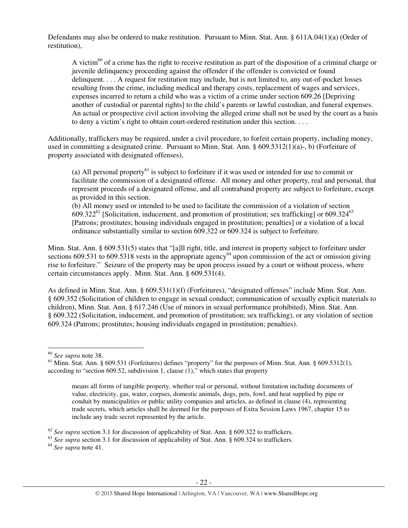Defendants may also be ordered to make restitution. Pursuant to Minn. Stat. Ann. § 611A.04(1)(a) (Order of restitution),

A victim $^{60}$  of a crime has the right to receive restitution as part of the disposition of a criminal charge or juvenile delinquency proceeding against the offender if the offender is convicted or found delinquent. . . . A request for restitution may include, but is not limited to, any out-of-pocket losses resulting from the crime, including medical and therapy costs, replacement of wages and services, expenses incurred to return a child who was a victim of a crime under section 609.26 [Depriving another of custodial or parental rights] to the child's parents or lawful custodian, and funeral expenses. An actual or prospective civil action involving the alleged crime shall not be used by the court as a basis to deny a victim's right to obtain court-ordered restitution under this section. . . .

Additionally, traffickers may be required, under a civil procedure, to forfeit certain property, including money, used in committing a designated crime. Pursuant to Minn. Stat. Ann. § 609.5312(1)(a)-, b) (Forfeiture of property associated with designated offenses),

(a) All personal property<sup>61</sup> is subject to forfeiture if it was used or intended for use to commit or facilitate the commission of a designated offense. All money and other property, real and personal, that represent proceeds of a designated offense, and all contraband property are subject to forfeiture, except as provided in this section.

(b) All money used or intended to be used to facilitate the commission of a violation of section  $609.322^{62}$  [Solicitation, inducement, and promotion of prostitution; sex trafficking] or 609.324<sup>63</sup> [Patrons; prostitutes; housing individuals engaged in prostitution; penalties] or a violation of a local ordinance substantially similar to section 609.322 or 609.324 is subject to forfeiture.

Minn. Stat. Ann. § 609.531(5) states that "[a]ll right, title, and interest in property subject to forfeiture under sections 609.531 to 609.5318 vests in the appropriate agency<sup>64</sup> upon commission of the act or omission giving rise to forfeiture." Seizure of the property may be upon process issued by a court or without process, where certain circumstances apply. Minn. Stat. Ann. § 609.531(4).

As defined in Minn. Stat. Ann. § 609.531(1)(f) (Forfeitures), "designated offenses" include Minn. Stat. Ann. § 609.352 (Solicitation of children to engage in sexual conduct; communication of sexually explicit materials to children), Minn. Stat. Ann. § 617.246 (Use of minors in sexual performance prohibited), Minn. Stat. Ann. § 609.322 (Solicitation, inducement, and promotion of prostitution; sex trafficking), or any violation of section 609.324 (Patrons; prostitutes; housing individuals engaged in prostitution; penalties).

 $\overline{a}$ 

<sup>64</sup> *See supra* note 41.

<sup>60</sup> *See supra* note 38.

 $61$  Minn. Stat. Ann. § 609.531 (Forfeitures) defines "property" for the purposes of Minn. Stat. Ann. § 609.5312(1), according to "section 609.52, subdivision 1, clause (1)," which states that property

means all forms of tangible property, whether real or personal, without limitation including documents of value, electricity, gas, water, corpses, domestic animals, dogs, pets, fowl, and heat supplied by pipe or conduit by municipalities or public utility companies and articles, as defined in clause (4), representing trade secrets, which articles shall be deemed for the purposes of Extra Session Laws 1967, chapter 15 to include any trade secret represented by the article.

<sup>62</sup> *See supra* section 3.1 for discussion of applicability of Stat. Ann. § 609.322 to traffickers.

<sup>&</sup>lt;sup>63</sup> See supra section 3.1 for discussion of applicability of Stat. Ann. § 609.324 to traffickers.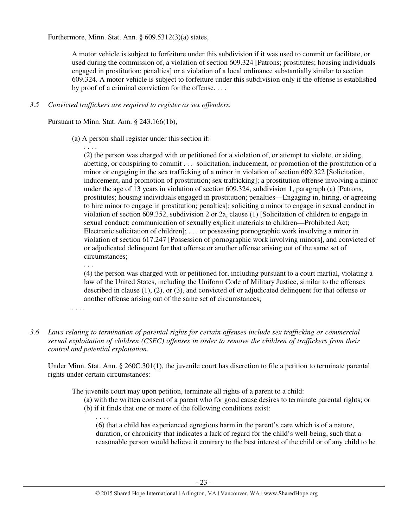Furthermore, Minn. Stat. Ann. § 609.5312(3)(a) states,

A motor vehicle is subject to forfeiture under this subdivision if it was used to commit or facilitate, or used during the commission of, a violation of section 609.324 [Patrons; prostitutes; housing individuals engaged in prostitution; penalties] or a violation of a local ordinance substantially similar to section 609.324. A motor vehicle is subject to forfeiture under this subdivision only if the offense is established by proof of a criminal conviction for the offense. . . .

*3.5 Convicted traffickers are required to register as sex offenders.*

Pursuant to Minn. Stat. Ann. § 243.166(1b),

(a) A person shall register under this section if:

. . . . (2) the person was charged with or petitioned for a violation of, or attempt to violate, or aiding, abetting, or conspiring to commit . . . solicitation, inducement, or promotion of the prostitution of a minor or engaging in the sex trafficking of a minor in violation of section 609.322 [Solicitation, inducement, and promotion of prostitution; sex trafficking]; a prostitution offense involving a minor under the age of 13 years in violation of section 609.324, subdivision 1, paragraph (a) [Patrons, prostitutes; housing individuals engaged in prostitution; penalties—Engaging in, hiring, or agreeing to hire minor to engage in prostitution; penalties]; soliciting a minor to engage in sexual conduct in violation of section 609.352, subdivision 2 or 2a, clause (1) [Solicitation of children to engage in sexual conduct; communication of sexually explicit materials to children—Prohibited Act; Electronic solicitation of children]; . . . or possessing pornographic work involving a minor in violation of section 617.247 [Possession of pornographic work involving minors], and convicted of or adjudicated delinquent for that offense or another offense arising out of the same set of circumstances;

. . .

(4) the person was charged with or petitioned for, including pursuant to a court martial, violating a law of the United States, including the Uniform Code of Military Justice, similar to the offenses described in clause (1), (2), or (3), and convicted of or adjudicated delinquent for that offense or another offense arising out of the same set of circumstances;

- . . . .
- *3.6 Laws relating to termination of parental rights for certain offenses include sex trafficking or commercial sexual exploitation of children (CSEC) offenses in order to remove the children of traffickers from their control and potential exploitation.*

Under Minn. Stat. Ann. § 260C.301(1), the juvenile court has discretion to file a petition to terminate parental rights under certain circumstances:

The juvenile court may upon petition, terminate all rights of a parent to a child:

- (a) with the written consent of a parent who for good cause desires to terminate parental rights; or (b) if it finds that one or more of the following conditions exist:
	- . . . . (6) that a child has experienced egregious harm in the parent's care which is of a nature, duration, or chronicity that indicates a lack of regard for the child's well-being, such that a reasonable person would believe it contrary to the best interest of the child or of any child to be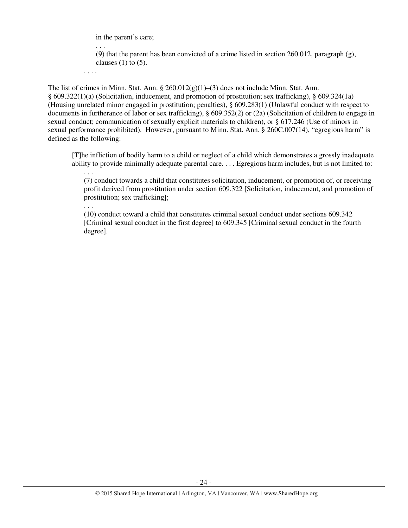in the parent's care;

(9) that the parent has been convicted of a crime listed in section 260.012, paragraph  $(g)$ , clauses  $(1)$  to  $(5)$ .

. . . .

. . .

The list of crimes in Minn. Stat. Ann. §  $260.012(g)(1)-(3)$  does not include Minn. Stat. Ann. § 609.322(1)(a) (Solicitation, inducement, and promotion of prostitution; sex trafficking), § 609.324(1a) (Housing unrelated minor engaged in prostitution; penalties), § 609.283(1) (Unlawful conduct with respect to documents in furtherance of labor or sex trafficking), § 609.352(2) or (2a) (Solicitation of children to engage in sexual conduct; communication of sexually explicit materials to children), or § 617.246 (Use of minors in sexual performance prohibited). However, pursuant to Minn. Stat. Ann. § 260C.007(14), "egregious harm" is defined as the following:

[T]he infliction of bodily harm to a child or neglect of a child which demonstrates a grossly inadequate ability to provide minimally adequate parental care. . . . Egregious harm includes, but is not limited to:

(7) conduct towards a child that constitutes solicitation, inducement, or promotion of, or receiving profit derived from prostitution under section 609.322 [Solicitation, inducement, and promotion of prostitution; sex trafficking];

. . .

. . .

(10) conduct toward a child that constitutes criminal sexual conduct under sections 609.342 [Criminal sexual conduct in the first degree] to 609.345 [Criminal sexual conduct in the fourth degree].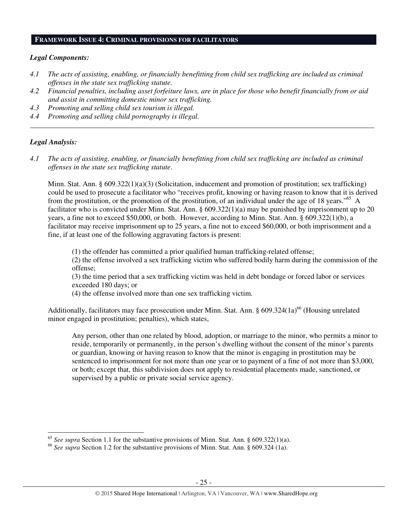#### **FRAMEWORK ISSUE 4: CRIMINAL PROVISIONS FOR FACILITATORS**

#### *Legal Components:*

- *4.1 The acts of assisting, enabling, or financially benefitting from child sex trafficking are included as criminal offenses in the state sex trafficking statute.*
- *4.2 Financial penalties, including asset forfeiture laws, are in place for those who benefit financially from or aid and assist in committing domestic minor sex trafficking.*

*\_\_\_\_\_\_\_\_\_\_\_\_\_\_\_\_\_\_\_\_\_\_\_\_\_\_\_\_\_\_\_\_\_\_\_\_\_\_\_\_\_\_\_\_\_\_\_\_\_\_\_\_\_\_\_\_\_\_\_\_\_\_\_\_\_\_\_\_\_\_\_\_\_\_\_\_\_\_\_\_\_\_\_\_\_\_\_\_\_\_\_\_\_\_* 

- *4.3 Promoting and selling child sex tourism is illegal.*
- *4.4 Promoting and selling child pornography is illegal.*

#### *Legal Analysis:*

l

*4.1 The acts of assisting, enabling, or financially benefitting from child sex trafficking are included as criminal offenses in the state sex trafficking statute*.

Minn. Stat. Ann. § 609.322(1)(a)(3) (Solicitation, inducement and promotion of prostitution; sex trafficking) could be used to prosecute a facilitator who "receives profit, knowing or having reason to know that it is derived from the prostitution, or the promotion of the prostitution, of an individual under the age of 18 years.<sup>565</sup> A facilitator who is convicted under Minn. Stat. Ann. § 609.322(1)(a) may be punished by imprisonment up to 20 years, a fine not to exceed \$50,000, or both. However, according to Minn. Stat. Ann. § 609.322(1)(b), a facilitator may receive imprisonment up to 25 years, a fine not to exceed \$60,000, or both imprisonment and a fine, if at least one of the following aggravating factors is present:

(1) the offender has committed a prior qualified human trafficking-related offense;

(2) the offense involved a sex trafficking victim who suffered bodily harm during the commission of the offense;

(3) the time period that a sex trafficking victim was held in debt bondage or forced labor or services exceeded 180 days; or

(4) the offense involved more than one sex trafficking victim.

Additionally, facilitators may face prosecution under Minn. Stat. Ann.  $\S 609.324(1a)^{66}$  (Housing unrelated minor engaged in prostitution; penalties), which states,

Any person, other than one related by blood, adoption, or marriage to the minor, who permits a minor to reside, temporarily or permanently, in the person's dwelling without the consent of the minor's parents or guardian, knowing or having reason to know that the minor is engaging in prostitution may be sentenced to imprisonment for not more than one year or to payment of a fine of not more than \$3,000, or both; except that, this subdivision does not apply to residential placements made, sanctioned, or supervised by a public or private social service agency.

<sup>65</sup> *See supra* Section 1.1 for the substantive provisions of Minn. Stat. Ann. § 609.322(1)(a).

<sup>66</sup> *See supra* Section 1.2 for the substantive provisions of Minn. Stat. Ann. § 609.324 (1a).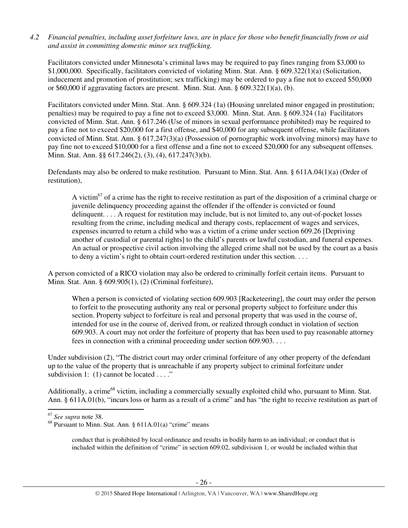*4.2 Financial penalties, including asset forfeiture laws, are in place for those who benefit financially from or aid and assist in committing domestic minor sex trafficking.* 

Facilitators convicted under Minnesota's criminal laws may be required to pay fines ranging from \$3,000 to \$1,000,000. Specifically, facilitators convicted of violating Minn. Stat. Ann. § 609.322(1)(a) (Solicitation, inducement and promotion of prostitution; sex trafficking) may be ordered to pay a fine not to exceed \$50,000 or \$60,000 if aggravating factors are present. Minn. Stat. Ann. § 609.322(1)(a), (b).

Facilitators convicted under Minn. Stat. Ann. § 609.324 (1a) (Housing unrelated minor engaged in prostitution; penalties) may be required to pay a fine not to exceed \$3,000. Minn. Stat. Ann. § 609.324 (1a) Facilitators convicted of Minn. Stat. Ann. § 617.246 (Use of minors in sexual performance prohibited) may be required to pay a fine not to exceed \$20,000 for a first offense, and \$40,000 for any subsequent offense, while facilitators convicted of Minn. Stat. Ann. § 617.247(3)(a) (Possession of pornographic work involving minors) may have to pay fine not to exceed \$10,000 for a first offense and a fine not to exceed \$20,000 for any subsequent offenses. Minn. Stat. Ann. §§ 617.246(2), (3), (4), 617.247(3)(b).

Defendants may also be ordered to make restitution. Pursuant to Minn. Stat. Ann. § 611A.04(1)(a) (Order of restitution),

A victim<sup>67</sup> of a crime has the right to receive restitution as part of the disposition of a criminal charge or juvenile delinquency proceeding against the offender if the offender is convicted or found delinquent. . . . A request for restitution may include, but is not limited to, any out-of-pocket losses resulting from the crime, including medical and therapy costs, replacement of wages and services, expenses incurred to return a child who was a victim of a crime under section 609.26 [Depriving another of custodial or parental rights] to the child's parents or lawful custodian, and funeral expenses. An actual or prospective civil action involving the alleged crime shall not be used by the court as a basis to deny a victim's right to obtain court-ordered restitution under this section. . . .

A person convicted of a RICO violation may also be ordered to criminally forfeit certain items. Pursuant to Minn. Stat. Ann. § 609.905(1), (2) (Criminal forfeiture),

When a person is convicted of violating section 609.903 [Racketeering], the court may order the person to forfeit to the prosecuting authority any real or personal property subject to forfeiture under this section. Property subject to forfeiture is real and personal property that was used in the course of, intended for use in the course of, derived from, or realized through conduct in violation of section 609.903. A court may not order the forfeiture of property that has been used to pay reasonable attorney fees in connection with a criminal proceeding under section 609.903. . . .

Under subdivision (2), "The district court may order criminal forfeiture of any other property of the defendant up to the value of the property that is unreachable if any property subject to criminal forfeiture under subdivision 1: (1) cannot be located . . . ."

Additionally, a crime<sup>68</sup> victim, including a commercially sexually exploited child who, pursuant to Minn. Stat. Ann. § 611A.01(b), "incurs loss or harm as a result of a crime" and has "the right to receive restitution as part of l

conduct that is prohibited by local ordinance and results in bodily harm to an individual; or conduct that is included within the definition of "crime" in section 609.02, subdivision 1, or would be included within that

<sup>67</sup> *See supra* note 38.

 $68$  Pursuant to Minn. Stat. Ann. § 611A.01(a) "crime" means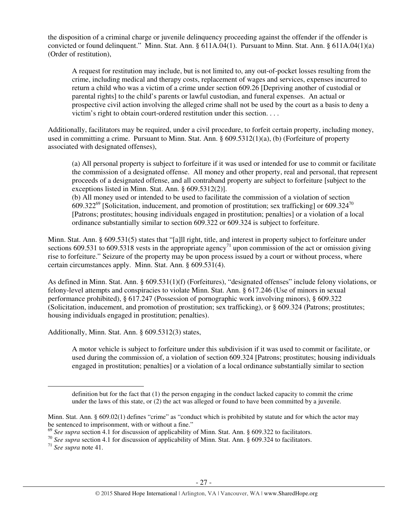the disposition of a criminal charge or juvenile delinquency proceeding against the offender if the offender is convicted or found delinquent." Minn. Stat. Ann. § 611A.04(1). Pursuant to Minn. Stat. Ann. § 611A.04(1)(a) (Order of restitution),

A request for restitution may include, but is not limited to, any out-of-pocket losses resulting from the crime, including medical and therapy costs, replacement of wages and services, expenses incurred to return a child who was a victim of a crime under section 609.26 [Depriving another of custodial or parental rights] to the child's parents or lawful custodian, and funeral expenses. An actual or prospective civil action involving the alleged crime shall not be used by the court as a basis to deny a victim's right to obtain court-ordered restitution under this section. . . .

Additionally, facilitators may be required, under a civil procedure, to forfeit certain property, including money, used in committing a crime. Pursuant to Minn. Stat. Ann. § 609.5312(1)(a), (b) (Forfeiture of property associated with designated offenses),

(a) All personal property is subject to forfeiture if it was used or intended for use to commit or facilitate the commission of a designated offense. All money and other property, real and personal, that represent proceeds of a designated offense, and all contraband property are subject to forfeiture [subject to the exceptions listed in Minn. Stat. Ann. § 609.5312(2)].

(b) All money used or intended to be used to facilitate the commission of a violation of section  $609.322^{69}$  [Solicitation, inducement, and promotion of prostitution; sex trafficking] or  $609.324^{70}$ [Patrons; prostitutes; housing individuals engaged in prostitution; penalties] or a violation of a local ordinance substantially similar to section 609.322 or 609.324 is subject to forfeiture.

Minn. Stat. Ann. § 609.531(5) states that "[a]ll right, title, and interest in property subject to forfeiture under sections 609.531 to 609.5318 vests in the appropriate agency<sup>71</sup> upon commission of the act or omission giving rise to forfeiture." Seizure of the property may be upon process issued by a court or without process, where certain circumstances apply. Minn. Stat. Ann. § 609.531(4).

As defined in Minn. Stat. Ann. § 609.531(1)(f) (Forfeitures), "designated offenses" include felony violations, or felony-level attempts and conspiracies to violate Minn. Stat. Ann. § 617.246 (Use of minors in sexual performance prohibited), § 617.247 (Possession of pornographic work involving minors), § 609.322 (Solicitation, inducement, and promotion of prostitution; sex trafficking), or § 609.324 (Patrons; prostitutes; housing individuals engaged in prostitution; penalties).

Additionally, Minn. Stat. Ann. § 609.5312(3) states,

A motor vehicle is subject to forfeiture under this subdivision if it was used to commit or facilitate, or used during the commission of, a violation of section 609.324 [Patrons; prostitutes; housing individuals engaged in prostitution; penalties] or a violation of a local ordinance substantially similar to section

 $\overline{a}$ 

definition but for the fact that (1) the person engaging in the conduct lacked capacity to commit the crime under the laws of this state, or (2) the act was alleged or found to have been committed by a juvenile.

Minn. Stat. Ann. § 609.02(1) defines "crime" as "conduct which is prohibited by statute and for which the actor may be sentenced to imprisonment, with or without a fine."

<sup>69</sup> *See supra* section 4.1 for discussion of applicability of Minn. Stat. Ann. § 609.322 to facilitators.

<sup>70</sup> *See supra* section 4.1 for discussion of applicability of Minn. Stat. Ann. § 609.324 to facilitators.

<sup>71</sup> *See supra* note 41.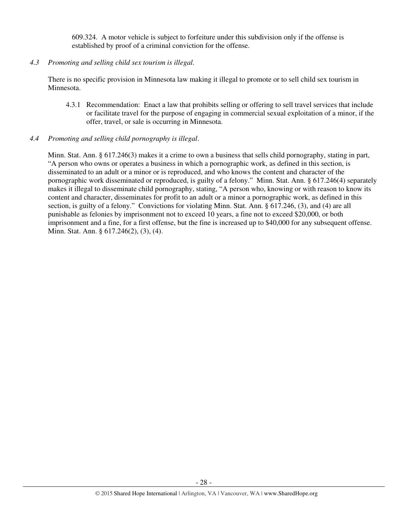609.324. A motor vehicle is subject to forfeiture under this subdivision only if the offense is established by proof of a criminal conviction for the offense.

*4.3 Promoting and selling child sex tourism is illegal*.

There is no specific provision in Minnesota law making it illegal to promote or to sell child sex tourism in Minnesota.

- 4.3.1 Recommendation: Enact a law that prohibits selling or offering to sell travel services that include or facilitate travel for the purpose of engaging in commercial sexual exploitation of a minor, if the offer, travel, or sale is occurring in Minnesota.
- *4.4 Promoting and selling child pornography is illegal*.

Minn. Stat. Ann. § 617.246(3) makes it a crime to own a business that sells child pornography, stating in part, "A person who owns or operates a business in which a pornographic work, as defined in this section, is disseminated to an adult or a minor or is reproduced, and who knows the content and character of the pornographic work disseminated or reproduced, is guilty of a felony." Minn. Stat. Ann. § 617.246(4) separately makes it illegal to disseminate child pornography, stating, "A person who, knowing or with reason to know its content and character, disseminates for profit to an adult or a minor a pornographic work, as defined in this section, is guilty of a felony." Convictions for violating Minn. Stat. Ann. § 617.246, (3), and (4) are all punishable as felonies by imprisonment not to exceed 10 years, a fine not to exceed \$20,000, or both imprisonment and a fine, for a first offense, but the fine is increased up to \$40,000 for any subsequent offense. Minn. Stat. Ann. § 617.246(2), (3), (4).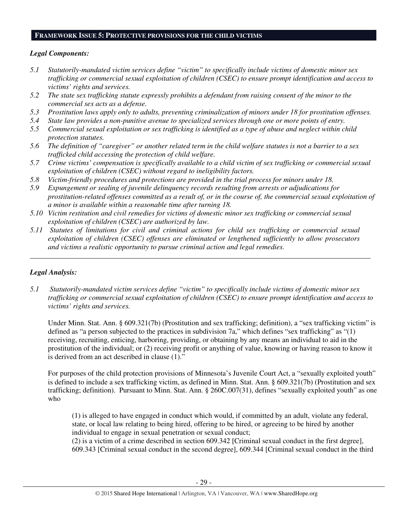#### **FRAMEWORK ISSUE 5: PROTECTIVE PROVISIONS FOR THE CHILD VICTIMS**

# *Legal Components:*

- *5.1 Statutorily-mandated victim services define "victim" to specifically include victims of domestic minor sex trafficking or commercial sexual exploitation of children (CSEC) to ensure prompt identification and access to victims' rights and services.*
- *5.2 The state sex trafficking statute expressly prohibits a defendant from raising consent of the minor to the commercial sex acts as a defense.*
- *5.3 Prostitution laws apply only to adults, preventing criminalization of minors under 18 for prostitution offenses.*
- *5.4 State law provides a non-punitive avenue to specialized services through one or more points of entry.*
- *5.5 Commercial sexual exploitation or sex trafficking is identified as a type of abuse and neglect within child protection statutes.*
- *5.6 The definition of "caregiver" or another related term in the child welfare statutes is not a barrier to a sex trafficked child accessing the protection of child welfare.*
- *5.7 Crime victims' compensation is specifically available to a child victim of sex trafficking or commercial sexual exploitation of children (CSEC) without regard to ineligibility factors.*
- *5.8 Victim-friendly procedures and protections are provided in the trial process for minors under 18.*
- *5.9 Expungement or sealing of juvenile delinquency records resulting from arrests or adjudications for prostitution-related offenses committed as a result of, or in the course of, the commercial sexual exploitation of a minor is available within a reasonable time after turning 18.*
- *5.10 Victim restitution and civil remedies for victims of domestic minor sex trafficking or commercial sexual exploitation of children (CSEC) are authorized by law.*
- *5.11 Statutes of limitations for civil and criminal actions for child sex trafficking or commercial sexual exploitation of children (CSEC) offenses are eliminated or lengthened sufficiently to allow prosecutors and victims a realistic opportunity to pursue criminal action and legal remedies.*

*\_\_\_\_\_\_\_\_\_\_\_\_\_\_\_\_\_\_\_\_\_\_\_\_\_\_\_\_\_\_\_\_\_\_\_\_\_\_\_\_\_\_\_\_\_\_\_\_\_\_\_\_\_\_\_\_\_\_\_\_\_\_\_\_\_\_\_\_\_\_\_\_\_\_\_\_\_\_\_\_\_\_\_\_\_\_\_\_\_\_\_\_\_* 

# *Legal Analysis:*

*5.1 Statutorily-mandated victim services define "victim" to specifically include victims of domestic minor sex trafficking or commercial sexual exploitation of children (CSEC) to ensure prompt identification and access to victims' rights and services.* 

Under Minn. Stat. Ann. § 609.321(7b) (Prostitution and sex trafficking; definition), a "sex trafficking victim" is defined as "a person subjected to the practices in subdivision 7a," which defines "sex trafficking" as "(1) receiving, recruiting, enticing, harboring, providing, or obtaining by any means an individual to aid in the prostitution of the individual; or (2) receiving profit or anything of value, knowing or having reason to know it is derived from an act described in clause (1)."

For purposes of the child protection provisions of Minnesota's Juvenile Court Act, a "sexually exploited youth" is defined to include a sex trafficking victim, as defined in Minn. Stat. Ann. § 609.321(7b) (Prostitution and sex trafficking; definition). Pursuant to Minn. Stat. Ann. § 260C.007(31), defines "sexually exploited youth" as one who

(1) is alleged to have engaged in conduct which would, if committed by an adult, violate any federal, state, or local law relating to being hired, offering to be hired, or agreeing to be hired by another individual to engage in sexual penetration or sexual conduct;

(2) is a victim of a crime described in section 609.342 [Criminal sexual conduct in the first degree], 609.343 [Criminal sexual conduct in the second degree], 609.344 [Criminal sexual conduct in the third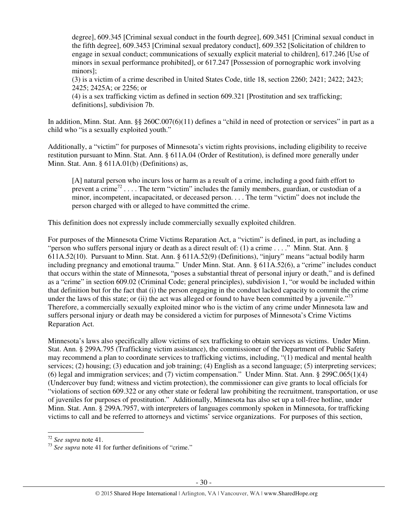degree], 609.345 [Criminal sexual conduct in the fourth degree], 609.3451 [Criminal sexual conduct in the fifth degree], 609.3453 [Criminal sexual predatory conduct], 609.352 [Solicitation of children to engage in sexual conduct; communications of sexually explicit material to children], 617.246 [Use of minors in sexual performance prohibited], or 617.247 [Possession of pornographic work involving minors];

(3) is a victim of a crime described in United States Code, title 18, section 2260; 2421; 2422; 2423; 2425; 2425A; or 2256; or

(4) is a sex trafficking victim as defined in section 609.321 [Prostitution and sex trafficking; definitions], subdivision 7b.

In addition, Minn. Stat. Ann. §§ 260C.007(6)(11) defines a "child in need of protection or services" in part as a child who "is a sexually exploited youth."

Additionally, a "victim" for purposes of Minnesota's victim rights provisions, including eligibility to receive restitution pursuant to Minn. Stat. Ann. § 611A.04 (Order of Restitution), is defined more generally under Minn. Stat. Ann. § 611A.01(b) (Definitions) as,

[A] natural person who incurs loss or harm as a result of a crime, including a good faith effort to prevent a crime<sup>72</sup> . . . . The term "victim" includes the family members, guardian, or custodian of a minor, incompetent, incapacitated, or deceased person. . . . The term "victim" does not include the person charged with or alleged to have committed the crime.

This definition does not expressly include commercially sexually exploited children.

For purposes of the Minnesota Crime Victims Reparation Act, a "victim" is defined, in part, as including a "person who suffers personal injury or death as a direct result of: (1) a crime . . . ." Minn. Stat. Ann. § 611A.52(10). Pursuant to Minn. Stat. Ann. § 611A.52(9) (Definitions), "injury" means "actual bodily harm including pregnancy and emotional trauma." Under Minn. Stat. Ann. § 611A.52(6), a "crime" includes conduct that occurs within the state of Minnesota, "poses a substantial threat of personal injury or death," and is defined as a "crime" in section 609.02 (Criminal Code; general principles), subdivision 1, "or would be included within that definition but for the fact that (i) the person engaging in the conduct lacked capacity to commit the crime under the laws of this state; or (ii) the act was alleged or found to have been committed by a juvenile."<sup>73</sup> Therefore, a commercially sexually exploited minor who is the victim of any crime under Minnesota law and suffers personal injury or death may be considered a victim for purposes of Minnesota's Crime Victims Reparation Act.

Minnesota's laws also specifically allow victims of sex trafficking to obtain services as victims. Under Minn. Stat. Ann. § 299A.795 (Trafficking victim assistance), the commissioner of the Department of Public Safety may recommend a plan to coordinate services to trafficking victims, including, "(1) medical and mental health services; (2) housing; (3) education and job training; (4) English as a second language; (5) interpreting services; (6) legal and immigration services; and (7) victim compensation." Under Minn. Stat. Ann. § 299C.065(1)(4) (Undercover buy fund; witness and victim protection), the commissioner can give grants to local officials for "violations of section 609.322 or any other state or federal law prohibiting the recruitment, transportation, or use of juveniles for purposes of prostitution." Additionally, Minnesota has also set up a toll-free hotline, under Minn. Stat. Ann. § 299A.7957, with interpreters of languages commonly spoken in Minnesota, for trafficking victims to call and be referred to attorneys and victims' service organizations. For purposes of this section,

l

<sup>72</sup> *See supra* note 41.

<sup>73</sup> *See supra* note 41 for further definitions of "crime."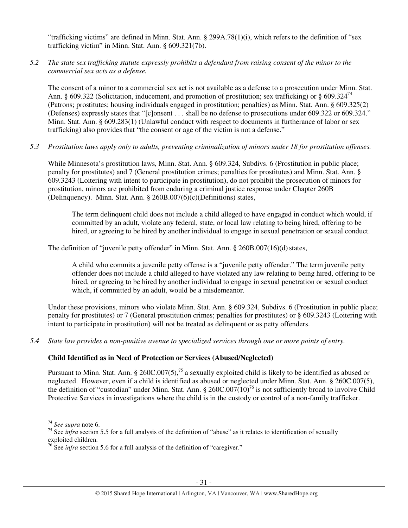"trafficking victims" are defined in Minn. Stat. Ann. § 299A.78(1)(i), which refers to the definition of "sex trafficking victim" in Minn. Stat. Ann. § 609.321(7b).

# *5.2 The state sex trafficking statute expressly prohibits a defendant from raising consent of the minor to the commercial sex acts as a defense.*

The consent of a minor to a commercial sex act is not available as a defense to a prosecution under Minn. Stat. Ann. § 609.322 (Solicitation, inducement, and promotion of prostitution; sex trafficking) or § 609.324<sup>74</sup> (Patrons; prostitutes; housing individuals engaged in prostitution; penalties) as Minn. Stat. Ann. § 609.325(2) (Defenses) expressly states that "[c]onsent . . . shall be no defense to prosecutions under 609.322 or 609.324." Minn. Stat. Ann. § 609.283(1) (Unlawful conduct with respect to documents in furtherance of labor or sex trafficking) also provides that "the consent or age of the victim is not a defense."

*5.3 Prostitution laws apply only to adults, preventing criminalization of minors under 18 for prostitution offenses.* 

While Minnesota's prostitution laws, Minn. Stat. Ann. § 609.324, Subdivs. 6 (Prostitution in public place; penalty for prostitutes) and 7 (General prostitution crimes; penalties for prostitutes) and Minn. Stat. Ann. § 609.3243 (Loitering with intent to participate in prostitution), do not prohibit the prosecution of minors for prostitution, minors are prohibited from enduring a criminal justice response under Chapter 260B (Delinquency). Minn. Stat. Ann. § 260B.007(6)(c)(Definitions) states,

The term delinquent child does not include a child alleged to have engaged in conduct which would, if committed by an adult, violate any federal, state, or local law relating to being hired, offering to be hired, or agreeing to be hired by another individual to engage in sexual penetration or sexual conduct.

The definition of "juvenile petty offender" in Minn. Stat. Ann.  $\S$  260B.007(16)(d) states,

A child who commits a juvenile petty offense is a "juvenile petty offender." The term juvenile petty offender does not include a child alleged to have violated any law relating to being hired, offering to be hired, or agreeing to be hired by another individual to engage in sexual penetration or sexual conduct which, if committed by an adult, would be a misdemeanor.

Under these provisions, minors who violate Minn. Stat. Ann. § 609.324, Subdivs. 6 (Prostitution in public place; penalty for prostitutes) or 7 (General prostitution crimes; penalties for prostitutes) or § 609.3243 (Loitering with intent to participate in prostitution) will not be treated as delinquent or as petty offenders.

*5.4 State law provides a non-punitive avenue to specialized services through one or more points of entry.* 

# **Child Identified as in Need of Protection or Services (Abused/Neglected)**

Pursuant to Minn. Stat. Ann. § 260C.007(5),<sup>75</sup> a sexually exploited child is likely to be identified as abused or neglected. However, even if a child is identified as abused or neglected under Minn. Stat. Ann. § 260C.007(5), the definition of "custodian" under Minn. Stat. Ann.  $\S 260C.007(10)^{76}$  is not sufficiently broad to involve Child Protective Services in investigations where the child is in the custody or control of a non-family trafficker.

 $\overline{a}$ 

<sup>74</sup> *See supra* note 6.

<sup>&</sup>lt;sup>75</sup> See *infra* section 5.5 for a full analysis of the definition of "abuse" as it relates to identification of sexually exploited children.

<sup>&</sup>lt;sup>76</sup> See *infra* section 5.6 for a full analysis of the definition of "caregiver."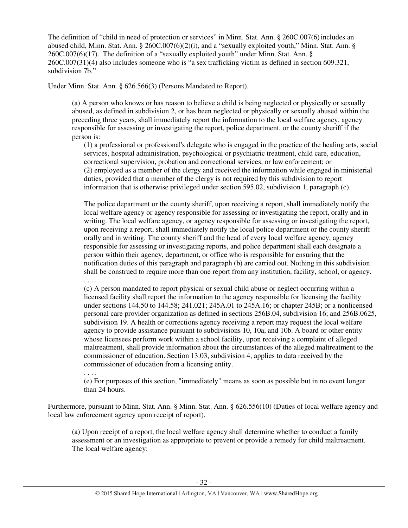The definition of "child in need of protection or services" in Minn. Stat. Ann. § 260C.007(6) includes an abused child, Minn. Stat. Ann. § 260C.007(6)(2)(i), and a "sexually exploited youth," Minn. Stat. Ann. § 260C.007(6)(17). The definition of a "sexually exploited youth" under Minn. Stat. Ann. § 260C.007(31)(4) also includes someone who is "a sex trafficking victim as defined in section 609.321, subdivision 7b."

Under Minn. Stat. Ann. § 626.566(3) (Persons Mandated to Report),

(a) A person who knows or has reason to believe a child is being neglected or physically or sexually abused, as defined in subdivision 2, or has been neglected or physically or sexually abused within the preceding three years, shall immediately report the information to the local welfare agency, agency responsible for assessing or investigating the report, police department, or the county sheriff if the person is:

(1) a professional or professional's delegate who is engaged in the practice of the healing arts, social services, hospital administration, psychological or psychiatric treatment, child care, education, correctional supervision, probation and correctional services, or law enforcement; or (2) employed as a member of the clergy and received the information while engaged in ministerial duties, provided that a member of the clergy is not required by this subdivision to report information that is otherwise privileged under section 595.02, subdivision 1, paragraph (c).

The police department or the county sheriff, upon receiving a report, shall immediately notify the local welfare agency or agency responsible for assessing or investigating the report, orally and in writing. The local welfare agency, or agency responsible for assessing or investigating the report, upon receiving a report, shall immediately notify the local police department or the county sheriff orally and in writing. The county sheriff and the head of every local welfare agency, agency responsible for assessing or investigating reports, and police department shall each designate a person within their agency, department, or office who is responsible for ensuring that the notification duties of this paragraph and paragraph (b) are carried out. Nothing in this subdivision shall be construed to require more than one report from any institution, facility, school, or agency. . . . .

(c) A person mandated to report physical or sexual child abuse or neglect occurring within a licensed facility shall report the information to the agency responsible for licensing the facility under sections 144.50 to 144.58; 241.021; 245A.01 to 245A.16; or chapter 245B; or a nonlicensed personal care provider organization as defined in sections 256B.04, subdivision 16; and 256B.0625, subdivision 19. A health or corrections agency receiving a report may request the local welfare agency to provide assistance pursuant to subdivisions 10, 10a, and 10b. A board or other entity whose licensees perform work within a school facility, upon receiving a complaint of alleged maltreatment, shall provide information about the circumstances of the alleged maltreatment to the commissioner of education. Section 13.03, subdivision 4, applies to data received by the commissioner of education from a licensing entity.

. . . .

(e) For purposes of this section, "immediately" means as soon as possible but in no event longer than 24 hours.

Furthermore, pursuant to Minn. Stat. Ann. § Minn. Stat. Ann. § 626.556(10) (Duties of local welfare agency and local law enforcement agency upon receipt of report).

(a) Upon receipt of a report, the local welfare agency shall determine whether to conduct a family assessment or an investigation as appropriate to prevent or provide a remedy for child maltreatment. The local welfare agency: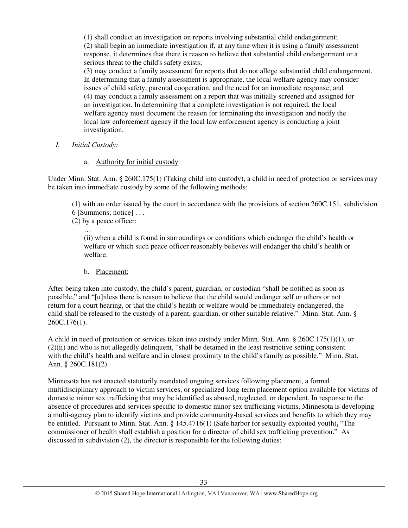(1) shall conduct an investigation on reports involving substantial child endangerment; (2) shall begin an immediate investigation if, at any time when it is using a family assessment response, it determines that there is reason to believe that substantial child endangerment or a serious threat to the child's safety exists;

(3) may conduct a family assessment for reports that do not allege substantial child endangerment. In determining that a family assessment is appropriate, the local welfare agency may consider issues of child safety, parental cooperation, and the need for an immediate response; and (4) may conduct a family assessment on a report that was initially screened and assigned for an investigation. In determining that a complete investigation is not required, the local welfare agency must document the reason for terminating the investigation and notify the local law enforcement agency if the local law enforcement agency is conducting a joint investigation.

- *I. Initial Custody:* 
	- a. Authority for initial custody

Under Minn. Stat. Ann. § 260C.175(1) (Taking child into custody), a child in need of protection or services may be taken into immediate custody by some of the following methods:

(1) with an order issued by the court in accordance with the provisions of section 260C.151, subdivision 6 [Summons; notice] . . .

(2) by a peace officer:

… (ii) when a child is found in surroundings or conditions which endanger the child's health or welfare or which such peace officer reasonably believes will endanger the child's health or welfare.

b. Placement:

After being taken into custody, the child's parent, guardian, or custodian "shall be notified as soon as possible," and "[u]nless there is reason to believe that the child would endanger self or others or not return for a court hearing, or that the child's health or welfare would be immediately endangered, the child shall be released to the custody of a parent, guardian, or other suitable relative." Minn. Stat. Ann. § 260C.176(1).

A child in need of protection or services taken into custody under Minn. Stat. Ann. § 260C.175(1)(1), or (2)(ii) and who is not allegedly delinquent, "shall be detained in the least restrictive setting consistent with the child's health and welfare and in closest proximity to the child's family as possible." Minn. Stat. Ann. § 260C.181(2).

Minnesota has not enacted statutorily mandated ongoing services following placement, a formal multidisciplinary approach to victim services, or specialized long-term placement option available for victims of domestic minor sex trafficking that may be identified as abused, neglected, or dependent. In response to the absence of procedures and services specific to domestic minor sex trafficking victims, Minnesota is developing a multi-agency plan to identify victims and provide community-based services and benefits to which they may be entitled. Pursuant to Minn. Stat. Ann. § 145.4716(1) (Safe harbor for sexually exploited youth)**,** "The commissioner of health shall establish a position for a director of child sex trafficking prevention." As discussed in subdivision (2), the director is responsible for the following duties: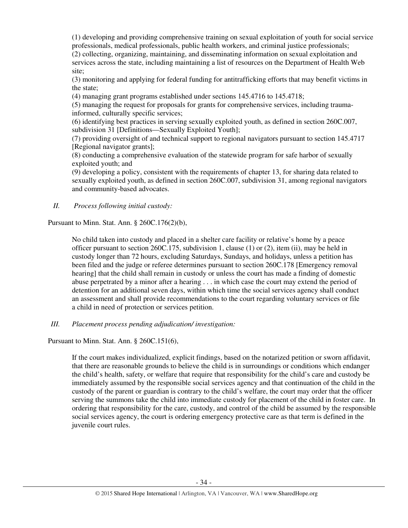(1) developing and providing comprehensive training on sexual exploitation of youth for social service professionals, medical professionals, public health workers, and criminal justice professionals; (2) collecting, organizing, maintaining, and disseminating information on sexual exploitation and services across the state, including maintaining a list of resources on the Department of Health Web site;

(3) monitoring and applying for federal funding for antitrafficking efforts that may benefit victims in the state;

(4) managing grant programs established under sections 145.4716 to 145.4718;

(5) managing the request for proposals for grants for comprehensive services, including traumainformed, culturally specific services;

(6) identifying best practices in serving sexually exploited youth, as defined in section 260C.007, subdivision 31 [Definitions—Sexually Exploited Youth];

(7) providing oversight of and technical support to regional navigators pursuant to section 145.4717 [Regional navigator grants];

(8) conducting a comprehensive evaluation of the statewide program for safe harbor of sexually exploited youth; and

(9) developing a policy, consistent with the requirements of chapter 13, for sharing data related to sexually exploited youth, as defined in section 260C.007, subdivision 31, among regional navigators and community-based advocates.

*II. Process following initial custody:* 

Pursuant to Minn. Stat. Ann. § 260C.176(2)(b),

No child taken into custody and placed in a shelter care facility or relative's home by a peace officer pursuant to section 260C.175, subdivision 1, clause  $(1)$  or  $(2)$ , item  $(ii)$ , may be held in custody longer than 72 hours, excluding Saturdays, Sundays, and holidays, unless a petition has been filed and the judge or referee determines pursuant to section 260C.178 [Emergency removal hearing] that the child shall remain in custody or unless the court has made a finding of domestic abuse perpetrated by a minor after a hearing . . . in which case the court may extend the period of detention for an additional seven days, within which time the social services agency shall conduct an assessment and shall provide recommendations to the court regarding voluntary services or file a child in need of protection or services petition.

*III. Placement process pending adjudication/ investigation:* 

Pursuant to Minn. Stat. Ann. § 260C.151(6),

If the court makes individualized, explicit findings, based on the notarized petition or sworn affidavit, that there are reasonable grounds to believe the child is in surroundings or conditions which endanger the child's health, safety, or welfare that require that responsibility for the child's care and custody be immediately assumed by the responsible social services agency and that continuation of the child in the custody of the parent or guardian is contrary to the child's welfare, the court may order that the officer serving the summons take the child into immediate custody for placement of the child in foster care. In ordering that responsibility for the care, custody, and control of the child be assumed by the responsible social services agency, the court is ordering emergency protective care as that term is defined in the juvenile court rules.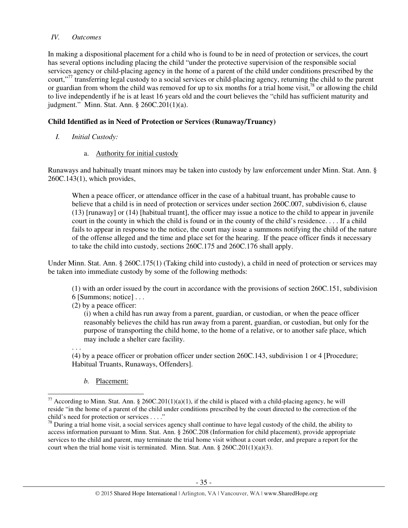## *IV. Outcomes*

In making a dispositional placement for a child who is found to be in need of protection or services, the court has several options including placing the child "under the protective supervision of the responsible social services agency or child-placing agency in the home of a parent of the child under conditions prescribed by the court,"<sup>77</sup> transferring legal custody to a social services or child-placing agency, returning the child to the parent or guardian from whom the child was removed for up to six months for a trial home visit,<sup>78</sup> or allowing the child to live independently if he is at least 16 years old and the court believes the "child has sufficient maturity and judgment." Minn. Stat. Ann. § 260C.201(1)(a).

# **Child Identified as in Need of Protection or Services (Runaway/Truancy)**

- *I. Initial Custody:* 
	- a. Authority for initial custody

Runaways and habitually truant minors may be taken into custody by law enforcement under Minn. Stat. Ann. § 260C.143(1), which provides,

When a peace officer, or attendance officer in the case of a habitual truant, has probable cause to believe that a child is in need of protection or services under section 260C.007, subdivision 6, clause (13) [runaway] or (14) [habitual truant], the officer may issue a notice to the child to appear in juvenile court in the county in which the child is found or in the county of the child's residence. . . . If a child fails to appear in response to the notice, the court may issue a summons notifying the child of the nature of the offense alleged and the time and place set for the hearing. If the peace officer finds it necessary to take the child into custody, sections 260C.175 and 260C.176 shall apply.

Under Minn. Stat. Ann. § 260C.175(1) (Taking child into custody), a child in need of protection or services may be taken into immediate custody by some of the following methods:

(1) with an order issued by the court in accordance with the provisions of section 260C.151, subdivision 6 [Summons; notice] . . .

(2) by a peace officer:

(i) when a child has run away from a parent, guardian, or custodian, or when the peace officer reasonably believes the child has run away from a parent, guardian, or custodian, but only for the purpose of transporting the child home, to the home of a relative, or to another safe place, which may include a shelter care facility.

. . . (4) by a peace officer or probation officer under section 260C.143, subdivision 1 or 4 [Procedure; Habitual Truants, Runaways, Offenders].

*b.* Placement:

 $\overline{a}$ 

<sup>&</sup>lt;sup>77</sup> According to Minn. Stat. Ann. § 260C.201(1)(a)(1), if the child is placed with a child-placing agency, he will reside "in the home of a parent of the child under conditions prescribed by the court directed to the correction of the child's need for protection or services . . . ."

 $78$  During a trial home visit, a social services agency shall continue to have legal custody of the child, the ability to access information pursuant to Minn. Stat. Ann. § 260C.208 (Information for child placement), provide appropriate services to the child and parent, may terminate the trial home visit without a court order, and prepare a report for the court when the trial home visit is terminated. Minn. Stat. Ann.  $\S 260C.201(1)(a)(3)$ .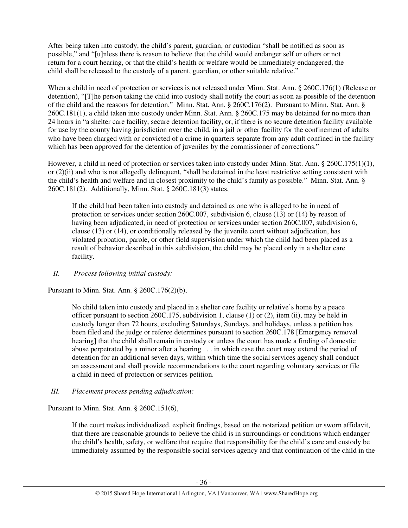After being taken into custody, the child's parent, guardian, or custodian "shall be notified as soon as possible," and "[u]nless there is reason to believe that the child would endanger self or others or not return for a court hearing, or that the child's health or welfare would be immediately endangered, the child shall be released to the custody of a parent, guardian, or other suitable relative."

When a child in need of protection or services is not released under Minn. Stat. Ann. § 260C.176(1) (Release or detention), "[T]he person taking the child into custody shall notify the court as soon as possible of the detention of the child and the reasons for detention." Minn. Stat. Ann. § 260C.176(2). Pursuant to Minn. Stat. Ann. § 260C.181(1), a child taken into custody under Minn. Stat. Ann. § 260C.175 may be detained for no more than 24 hours in "a shelter care facility, secure detention facility, or, if there is no secure detention facility available for use by the county having jurisdiction over the child, in a jail or other facility for the confinement of adults who have been charged with or convicted of a crime in quarters separate from any adult confined in the facility which has been approved for the detention of juveniles by the commissioner of corrections."

However, a child in need of protection or services taken into custody under Minn. Stat. Ann. § 260C.175(1)(1), or (2)(ii) and who is not allegedly delinquent, "shall be detained in the least restrictive setting consistent with the child's health and welfare and in closest proximity to the child's family as possible." Minn. Stat. Ann. § 260C.181(2). Additionally, Minn. Stat. § 260C.181(3) states,

If the child had been taken into custody and detained as one who is alleged to be in need of protection or services under section 260C.007, subdivision 6, clause (13) or (14) by reason of having been adjudicated, in need of protection or services under section 260C.007, subdivision 6, clause (13) or (14), or conditionally released by the juvenile court without adjudication, has violated probation, parole, or other field supervision under which the child had been placed as a result of behavior described in this subdivision, the child may be placed only in a shelter care facility.

*II. Process following initial custody:* 

Pursuant to Minn. Stat. Ann. § 260C.176(2)(b),

No child taken into custody and placed in a shelter care facility or relative's home by a peace officer pursuant to section 260C.175, subdivision 1, clause (1) or (2), item (ii), may be held in custody longer than 72 hours, excluding Saturdays, Sundays, and holidays, unless a petition has been filed and the judge or referee determines pursuant to section 260C.178 [Emergency removal hearing] that the child shall remain in custody or unless the court has made a finding of domestic abuse perpetrated by a minor after a hearing . . . in which case the court may extend the period of detention for an additional seven days, within which time the social services agency shall conduct an assessment and shall provide recommendations to the court regarding voluntary services or file a child in need of protection or services petition.

*III. Placement process pending adjudication:* 

Pursuant to Minn. Stat. Ann. § 260C.151(6),

If the court makes individualized, explicit findings, based on the notarized petition or sworn affidavit, that there are reasonable grounds to believe the child is in surroundings or conditions which endanger the child's health, safety, or welfare that require that responsibility for the child's care and custody be immediately assumed by the responsible social services agency and that continuation of the child in the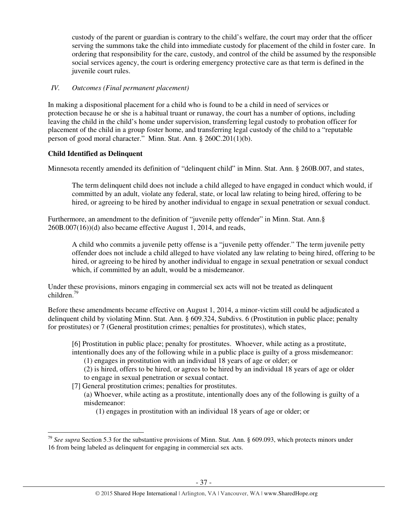custody of the parent or guardian is contrary to the child's welfare, the court may order that the officer serving the summons take the child into immediate custody for placement of the child in foster care. In ordering that responsibility for the care, custody, and control of the child be assumed by the responsible social services agency, the court is ordering emergency protective care as that term is defined in the juvenile court rules.

# *IV. Outcomes (Final permanent placement)*

In making a dispositional placement for a child who is found to be a child in need of services or protection because he or she is a habitual truant or runaway, the court has a number of options, including leaving the child in the child's home under supervision, transferring legal custody to probation officer for placement of the child in a group foster home, and transferring legal custody of the child to a "reputable person of good moral character." Minn. Stat. Ann. § 260C.201(1)(b).

## **Child Identified as Delinquent**

 $\overline{a}$ 

Minnesota recently amended its definition of "delinquent child" in Minn. Stat. Ann. § 260B.007, and states,

The term delinquent child does not include a child alleged to have engaged in conduct which would, if committed by an adult, violate any federal, state, or local law relating to being hired, offering to be hired, or agreeing to be hired by another individual to engage in sexual penetration or sexual conduct.

Furthermore, an amendment to the definition of "juvenile petty offender" in Minn. Stat. Ann.§ 260B.007(16))(d) also became effective August 1, 2014, and reads,

A child who commits a juvenile petty offense is a "juvenile petty offender." The term juvenile petty offender does not include a child alleged to have violated any law relating to being hired, offering to be hired, or agreeing to be hired by another individual to engage in sexual penetration or sexual conduct which, if committed by an adult, would be a misdemeanor.

Under these provisions, minors engaging in commercial sex acts will not be treated as delinquent children.<sup>79</sup>

Before these amendments became effective on August 1, 2014, a minor-victim still could be adjudicated a delinquent child by violating Minn. Stat. Ann. § 609.324, Subdivs. 6 (Prostitution in public place; penalty for prostitutes) or 7 (General prostitution crimes; penalties for prostitutes), which states,

[6] Prostitution in public place; penalty for prostitutes. Whoever, while acting as a prostitute,

intentionally does any of the following while in a public place is guilty of a gross misdemeanor: (1) engages in prostitution with an individual 18 years of age or older; or

(2) is hired, offers to be hired, or agrees to be hired by an individual 18 years of age or older to engage in sexual penetration or sexual contact.

[7] General prostitution crimes; penalties for prostitutes.

(a) Whoever, while acting as a prostitute, intentionally does any of the following is guilty of a misdemeanor:

(1) engages in prostitution with an individual 18 years of age or older; or

<sup>79</sup> *See supra* Section 5.3 for the substantive provisions of Minn. Stat. Ann. § 609.093, which protects minors under 16 from being labeled as delinquent for engaging in commercial sex acts.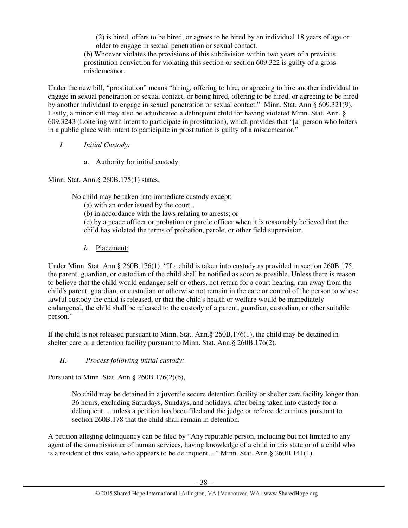(2) is hired, offers to be hired, or agrees to be hired by an individual 18 years of age or older to engage in sexual penetration or sexual contact.

(b) Whoever violates the provisions of this subdivision within two years of a previous prostitution conviction for violating this section or section 609.322 is guilty of a gross misdemeanor.

Under the new bill, "prostitution" means "hiring, offering to hire, or agreeing to hire another individual to engage in sexual penetration or sexual contact, or being hired, offering to be hired, or agreeing to be hired by another individual to engage in sexual penetration or sexual contact." Minn. Stat. Ann § 609.321(9). Lastly, a minor still may also be adjudicated a delinquent child for having violated Minn. Stat. Ann. § 609.3243 (Loitering with intent to participate in prostitution), which provides that "[a] person who loiters in a public place with intent to participate in prostitution is guilty of a misdemeanor."

- *I. Initial Custody:* 
	- a. Authority for initial custody

Minn. Stat. Ann.§ 260B.175(1) states,

No child may be taken into immediate custody except:

- (a) with an order issued by the court…
- (b) in accordance with the laws relating to arrests; or

(c) by a peace officer or probation or parole officer when it is reasonably believed that the child has violated the terms of probation, parole, or other field supervision.

*b.* Placement:

Under Minn. Stat. Ann.§ 260B.176(1), "If a child is taken into custody as provided in section 260B.175, the parent, guardian, or custodian of the child shall be notified as soon as possible. Unless there is reason to believe that the child would endanger self or others, not return for a court hearing, run away from the child's parent, guardian, or custodian or otherwise not remain in the care or control of the person to whose lawful custody the child is released, or that the child's health or welfare would be immediately endangered, the child shall be released to the custody of a parent, guardian, custodian, or other suitable person."

If the child is not released pursuant to Minn. Stat. Ann.§ 260B.176(1), the child may be detained in shelter care or a detention facility pursuant to Minn. Stat. Ann.§ 260B.176(2).

*II. Process following initial custody:* 

Pursuant to Minn. Stat. Ann.§ 260B.176(2)(b),

No child may be detained in a juvenile secure detention facility or shelter care facility longer than 36 hours, excluding Saturdays, Sundays, and holidays, after being taken into custody for a delinquent …unless a petition has been filed and the judge or referee determines pursuant to section 260B.178 that the child shall remain in detention.

A petition alleging delinquency can be filed by "Any reputable person, including but not limited to any agent of the commissioner of human services, having knowledge of a child in this state or of a child who is a resident of this state, who appears to be delinquent…" Minn. Stat. Ann.§ 260B.141(1).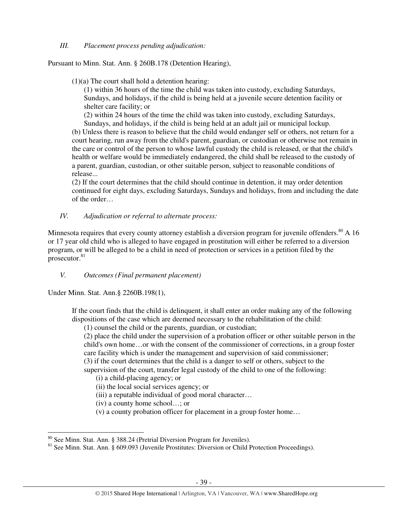## *III. Placement process pending adjudication:*

Pursuant to Minn. Stat. Ann. § 260B.178 (Detention Hearing),

 $(1)(a)$  The court shall hold a detention hearing:

(1) within 36 hours of the time the child was taken into custody, excluding Saturdays, Sundays, and holidays, if the child is being held at a juvenile secure detention facility or shelter care facility; or

(2) within 24 hours of the time the child was taken into custody, excluding Saturdays, Sundays, and holidays, if the child is being held at an adult jail or municipal lockup.

(b) Unless there is reason to believe that the child would endanger self or others, not return for a court hearing, run away from the child's parent, guardian, or custodian or otherwise not remain in the care or control of the person to whose lawful custody the child is released, or that the child's health or welfare would be immediately endangered, the child shall be released to the custody of a parent, guardian, custodian, or other suitable person, subject to reasonable conditions of release...

(2) If the court determines that the child should continue in detention, it may order detention continued for eight days, excluding Saturdays, Sundays and holidays, from and including the date of the order…

# *IV. Adjudication or referral to alternate process:*

Minnesota requires that every county attorney establish a diversion program for juvenile offenders.<sup>80</sup> A 16 or 17 year old child who is alleged to have engaged in prostitution will either be referred to a diversion program, or will be alleged to be a child in need of protection or services in a petition filed by the prosecutor. $81$ 

## *V. Outcomes (Final permanent placement)*

Under Minn. Stat. Ann.§ 2260B.198(1),

l

If the court finds that the child is delinquent, it shall enter an order making any of the following dispositions of the case which are deemed necessary to the rehabilitation of the child:

(1) counsel the child or the parents, guardian, or custodian;

(2) place the child under the supervision of a probation officer or other suitable person in the child's own home…or with the consent of the commissioner of corrections, in a group foster care facility which is under the management and supervision of said commissioner; (3) if the court determines that the child is a danger to self or others, subject to the supervision of the court, transfer legal custody of the child to one of the following:

(i) a child-placing agency; or

(ii) the local social services agency; or

(iii) a reputable individual of good moral character…

(iv) a county home school…; or

(v) a county probation officer for placement in a group foster home…

<sup>80</sup> See Minn. Stat. Ann. § 388.24 (Pretrial Diversion Program for Juveniles).

<sup>81</sup> See Minn. Stat. Ann. § 609.093 (Juvenile Prostitutes: Diversion or Child Protection Proceedings).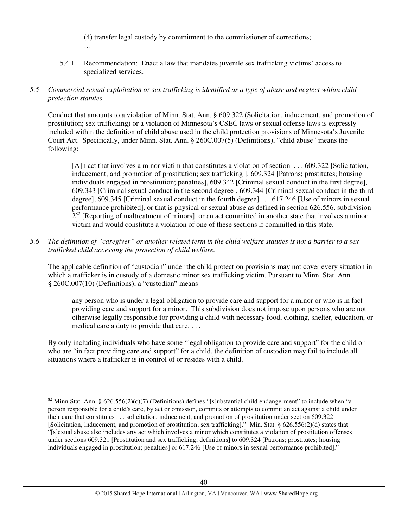(4) transfer legal custody by commitment to the commissioner of corrections;

…

 $\overline{a}$ 

5.4.1 Recommendation: Enact a law that mandates juvenile sex trafficking victims' access to specialized services.

# *5.5 Commercial sexual exploitation or sex trafficking is identified as a type of abuse and neglect within child protection statutes.*

Conduct that amounts to a violation of Minn. Stat. Ann. § 609.322 (Solicitation, inducement, and promotion of prostitution; sex trafficking) or a violation of Minnesota's CSEC laws or sexual offense laws is expressly included within the definition of child abuse used in the child protection provisions of Minnesota's Juvenile Court Act. Specifically, under Minn. Stat. Ann. § 260C.007(5) (Definitions), "child abuse" means the following:

[A]n act that involves a minor victim that constitutes a violation of section . . . 609.322 [Solicitation, inducement, and promotion of prostitution; sex trafficking ], 609.324 [Patrons; prostitutes; housing individuals engaged in prostitution; penalties], 609.342 [Criminal sexual conduct in the first degree], 609.343 [Criminal sexual conduct in the second degree], 609.344 [Criminal sexual conduct in the third degree], 609.345 [Criminal sexual conduct in the fourth degree] . . . 617.246 [Use of minors in sexual performance prohibited], or that is physical or sexual abuse as defined in section 626.556, subdivision  $2^{82}$  [Reporting of maltreatment of minors], or an act committed in another state that involves a minor victim and would constitute a violation of one of these sections if committed in this state.

*5.6 The definition of "caregiver" or another related term in the child welfare statutes is not a barrier to a sex trafficked child accessing the protection of child welfare.* 

The applicable definition of "custodian" under the child protection provisions may not cover every situation in which a trafficker is in custody of a domestic minor sex trafficking victim. Pursuant to Minn. Stat. Ann. § 260C.007(10) (Definitions), a "custodian" means

any person who is under a legal obligation to provide care and support for a minor or who is in fact providing care and support for a minor. This subdivision does not impose upon persons who are not otherwise legally responsible for providing a child with necessary food, clothing, shelter, education, or medical care a duty to provide that care. . . .

By only including individuals who have some "legal obligation to provide care and support" for the child or who are "in fact providing care and support" for a child, the definition of custodian may fail to include all situations where a trafficker is in control of or resides with a child.

<sup>&</sup>lt;sup>82</sup> Minn Stat. Ann. § 626.556(2)(c)(7) (Definitions) defines "[s]ubstantial child endangerment" to include when "a person responsible for a child's care, by act or omission, commits or attempts to commit an act against a child under their care that constitutes . . . solicitation, inducement, and promotion of prostitution under section 609.322 [Solicitation, inducement, and promotion of prostitution; sex trafficking]." Min. Stat. § 626.556(2)(d) states that "[s]exual abuse also includes any act which involves a minor which constitutes a violation of prostitution offenses under sections 609.321 [Prostitution and sex trafficking; definitions] to 609.324 [Patrons; prostitutes; housing individuals engaged in prostitution; penalties] or 617.246 [Use of minors in sexual performance prohibited]."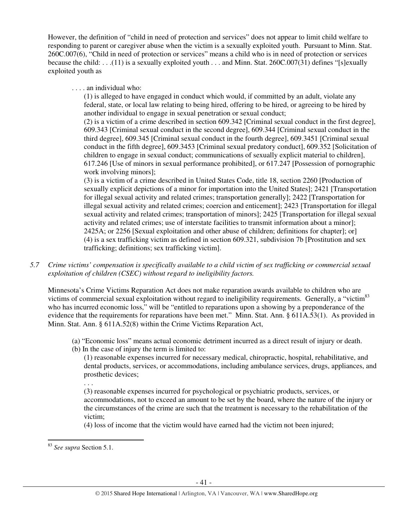However, the definition of "child in need of protection and services" does not appear to limit child welfare to responding to parent or caregiver abuse when the victim is a sexually exploited youth. Pursuant to Minn. Stat. 260C.007(6), "Child in need of protection or services" means a child who is in need of protection or services because the child: . . .(11) is a sexually exploited youth . . . and Minn. Stat. 260C.007(31) defines "[s]exually exploited youth as

. . . . an individual who:

(1) is alleged to have engaged in conduct which would, if committed by an adult, violate any federal, state, or local law relating to being hired, offering to be hired, or agreeing to be hired by another individual to engage in sexual penetration or sexual conduct;

(2) is a victim of a crime described in section 609.342 [Criminal sexual conduct in the first degree], 609.343 [Criminal sexual conduct in the second degree], 609.344 [Criminal sexual conduct in the third degree], 609.345 [Criminal sexual conduct in the fourth degree], 609.3451 [Criminal sexual conduct in the fifth degree], 609.3453 [Criminal sexual predatory conduct], 609.352 [Solicitation of children to engage in sexual conduct; communications of sexually explicit material to children], 617.246 [Use of minors in sexual performance prohibited], or 617.247 [Possession of pornographic work involving minors];

(3) is a victim of a crime described in United States Code, title 18, section 2260 [Production of sexually explicit depictions of a minor for importation into the United States]; 2421 [Transportation for illegal sexual activity and related crimes; transportation generally]; 2422 [Transportation for illegal sexual activity and related crimes; coercion and enticement]; 2423 [Transportation for illegal sexual activity and related crimes; transportation of minors]; 2425 [Transportation for illegal sexual activity and related crimes; use of interstate facilities to transmit information about a minor]; 2425A; or 2256 [Sexual exploitation and other abuse of children; definitions for chapter]; or] (4) is a sex trafficking victim as defined in section 609.321, subdivision 7b [Prostitution and sex trafficking; definitions; sex trafficking victim].

*5.7 Crime victims' compensation is specifically available to a child victim of sex trafficking or commercial sexual exploitation of children (CSEC) without regard to ineligibility factors.* 

Minnesota's Crime Victims Reparation Act does not make reparation awards available to children who are victims of commercial sexual exploitation without regard to ineligibility requirements. Generally, a "victim<sup>83</sup> who has incurred economic loss," will be "entitled to reparations upon a showing by a preponderance of the evidence that the requirements for reparations have been met." Minn. Stat. Ann. § 611A.53(1). As provided in Minn. Stat. Ann. § 611A.52(8) within the Crime Victims Reparation Act,

- (a) "Economic loss" means actual economic detriment incurred as a direct result of injury or death.
- (b) In the case of injury the term is limited to:

(1) reasonable expenses incurred for necessary medical, chiropractic, hospital, rehabilitative, and dental products, services, or accommodations, including ambulance services, drugs, appliances, and prosthetic devices;

. . .

(3) reasonable expenses incurred for psychological or psychiatric products, services, or accommodations, not to exceed an amount to be set by the board, where the nature of the injury or the circumstances of the crime are such that the treatment is necessary to the rehabilitation of the victim;

(4) loss of income that the victim would have earned had the victim not been injured;

 $\overline{a}$ 

<sup>83</sup> *See supra* Section 5.1.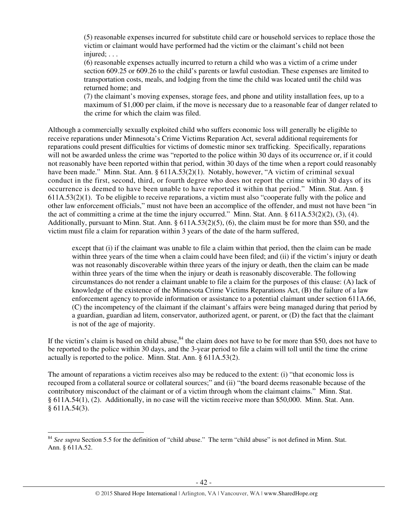(5) reasonable expenses incurred for substitute child care or household services to replace those the victim or claimant would have performed had the victim or the claimant's child not been injured; . . .

(6) reasonable expenses actually incurred to return a child who was a victim of a crime under section 609.25 or 609.26 to the child's parents or lawful custodian. These expenses are limited to transportation costs, meals, and lodging from the time the child was located until the child was returned home; and

(7) the claimant's moving expenses, storage fees, and phone and utility installation fees, up to a maximum of \$1,000 per claim, if the move is necessary due to a reasonable fear of danger related to the crime for which the claim was filed.

Although a commercially sexually exploited child who suffers economic loss will generally be eligible to receive reparations under Minnesota's Crime Victims Reparation Act, several additional requirements for reparations could present difficulties for victims of domestic minor sex trafficking. Specifically, reparations will not be awarded unless the crime was "reported to the police within 30 days of its occurrence or, if it could not reasonably have been reported within that period, within 30 days of the time when a report could reasonably have been made." Minn. Stat. Ann. § 611A.53(2)(1). Notably, however, "A victim of criminal sexual conduct in the first, second, third, or fourth degree who does not report the crime within 30 days of its occurrence is deemed to have been unable to have reported it within that period." Minn. Stat. Ann. § 611A.53(2)(1). To be eligible to receive reparations, a victim must also "cooperate fully with the police and other law enforcement officials," must not have been an accomplice of the offender, and must not have been "in the act of committing a crime at the time the injury occurred." Minn. Stat. Ann.  $\S 611A.53(2)(2)$ , (3), (4). Additionally, pursuant to Minn. Stat. Ann. § 611A.53(2)(5), (6), the claim must be for more than \$50, and the victim must file a claim for reparation within 3 years of the date of the harm suffered,

except that (i) if the claimant was unable to file a claim within that period, then the claim can be made within three years of the time when a claim could have been filed; and (ii) if the victim's injury or death was not reasonably discoverable within three years of the injury or death, then the claim can be made within three years of the time when the injury or death is reasonably discoverable. The following circumstances do not render a claimant unable to file a claim for the purposes of this clause: (A) lack of knowledge of the existence of the Minnesota Crime Victims Reparations Act, (B) the failure of a law enforcement agency to provide information or assistance to a potential claimant under section 611A.66, (C) the incompetency of the claimant if the claimant's affairs were being managed during that period by a guardian, guardian ad litem, conservator, authorized agent, or parent, or (D) the fact that the claimant is not of the age of majority.

If the victim's claim is based on child abuse, $84$  the claim does not have to be for more than \$50, does not have to be reported to the police within 30 days, and the 3-year period to file a claim will toll until the time the crime actually is reported to the police. Minn. Stat. Ann. § 611A.53(2).

The amount of reparations a victim receives also may be reduced to the extent: (i) "that economic loss is recouped from a collateral source or collateral sources;" and (ii) "the board deems reasonable because of the contributory misconduct of the claimant or of a victim through whom the claimant claims." Minn. Stat. § 611A.54(1), (2). Additionally, in no case will the victim receive more than \$50,000. Minn. Stat. Ann. § 611A.54(3).

 $\overline{a}$ 

<sup>&</sup>lt;sup>84</sup> See supra Section 5.5 for the definition of "child abuse." The term "child abuse" is not defined in Minn. Stat. Ann. § 611A.52.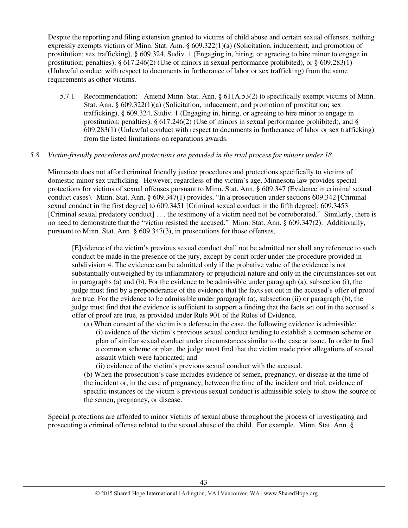Despite the reporting and filing extension granted to victims of child abuse and certain sexual offenses, nothing expressly exempts victims of Minn. Stat. Ann. § 609.322(1)(a) (Solicitation, inducement, and promotion of prostitution; sex trafficking), § 609.324, Sudiv. 1 (Engaging in, hiring, or agreeing to hire minor to engage in prostitution; penalties), § 617.246(2) (Use of minors in sexual performance prohibited), or § 609.283(1) (Unlawful conduct with respect to documents in furtherance of labor or sex trafficking) from the same requirements as other victims.

5.7.1 Recommendation: Amend Minn. Stat. Ann. § 611A.53(2) to specifically exempt victims of Minn. Stat. Ann. § 609.322(1)(a) (Solicitation, inducement, and promotion of prostitution; sex trafficking), § 609.324, Sudiv. 1 (Engaging in, hiring, or agreeing to hire minor to engage in prostitution; penalties),  $\S 617.246(2)$  (Use of minors in sexual performance prohibited), and  $\S$ 609.283(1) (Unlawful conduct with respect to documents in furtherance of labor or sex trafficking) from the listed limitations on reparations awards.

## *5.8 Victim-friendly procedures and protections are provided in the trial process for minors under 18.*

Minnesota does not afford criminal friendly justice procedures and protections specifically to victims of domestic minor sex trafficking. However, regardless of the victim's age, Minnesota law provides special protections for victims of sexual offenses pursuant to Minn. Stat. Ann. § 609.347 (Evidence in criminal sexual conduct cases). Minn. Stat. Ann. § 609.347(1) provides, "In a prosecution under sections 609.342 [Criminal sexual conduct in the first degree] to 609.3451 [Criminal sexual conduct in the fifth degree]; 609.3453 [Criminal sexual predatory conduct] . . . the testimony of a victim need not be corroborated." Similarly, there is no need to demonstrate that the "victim resisted the accused." Minn. Stat. Ann. § 609.347(2). Additionally, pursuant to Minn. Stat. Ann. § 609.347(3), in prosecutions for those offenses,

[E]vidence of the victim's previous sexual conduct shall not be admitted nor shall any reference to such conduct be made in the presence of the jury, except by court order under the procedure provided in subdivision 4. The evidence can be admitted only if the probative value of the evidence is not substantially outweighed by its inflammatory or prejudicial nature and only in the circumstances set out in paragraphs (a) and (b). For the evidence to be admissible under paragraph (a), subsection (i), the judge must find by a preponderance of the evidence that the facts set out in the accused's offer of proof are true. For the evidence to be admissible under paragraph (a), subsection (ii) or paragraph (b), the judge must find that the evidence is sufficient to support a finding that the facts set out in the accused's offer of proof are true, as provided under Rule 901 of the Rules of Evidence.

- (a) When consent of the victim is a defense in the case, the following evidence is admissible: (i) evidence of the victim's previous sexual conduct tending to establish a common scheme or plan of similar sexual conduct under circumstances similar to the case at issue. In order to find a common scheme or plan, the judge must find that the victim made prior allegations of sexual assault which were fabricated; and
	- (ii) evidence of the victim's previous sexual conduct with the accused.

(b) When the prosecution's case includes evidence of semen, pregnancy, or disease at the time of the incident or, in the case of pregnancy, between the time of the incident and trial, evidence of specific instances of the victim's previous sexual conduct is admissible solely to show the source of the semen, pregnancy, or disease.

Special protections are afforded to minor victims of sexual abuse throughout the process of investigating and prosecuting a criminal offense related to the sexual abuse of the child. For example, Minn. Stat. Ann. §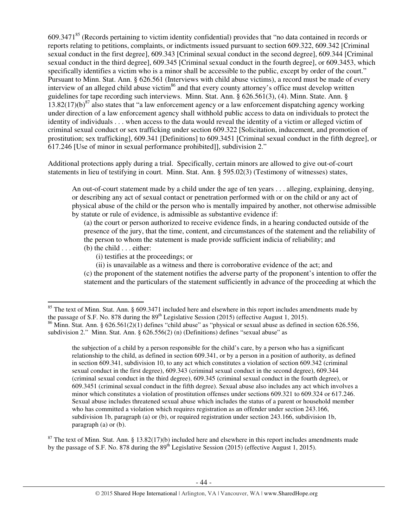609.3471<sup>85</sup> (Records pertaining to victim identity confidential) provides that "no data contained in records or reports relating to petitions, complaints, or indictments issued pursuant to section 609.322, 609.342 [Criminal sexual conduct in the first degree], 609.343 [Criminal sexual conduct in the second degree], 609.344 [Criminal sexual conduct in the third degree], 609.345 [Criminal sexual conduct in the fourth degree], or 609.3453, which specifically identifies a victim who is a minor shall be accessible to the public, except by order of the court." Pursuant to Minn. Stat. Ann. § 626.561 (Interviews with child abuse victims), a record must be made of every interview of an alleged child abuse victim<sup>86</sup> and that every county attorney's office must develop written guidelines for tape recording such interviews. Minn. Stat. Ann. § 626.561(3), (4). Minn. State. Ann. §  $13.82(17)(b)^{87}$  also states that "a law enforcement agency or a law enforcement dispatching agency working under direction of a law enforcement agency shall withhold public access to data on individuals to protect the identity of individuals . . . when access to the data would reveal the identity of a victim or alleged victim of criminal sexual conduct or sex trafficking under section 609.322 [Solicitation, inducement, and promotion of prostitution; sex trafficking], 609.341 [Definitions] to 609.3451 [Criminal sexual conduct in the fifth degree], or 617.246 [Use of minor in sexual performance prohibited]], subdivision 2."

Additional protections apply during a trial. Specifically, certain minors are allowed to give out-of-court statements in lieu of testifying in court. Minn. Stat. Ann. § 595.02(3) (Testimony of witnesses) states,

An out-of-court statement made by a child under the age of ten years . . . alleging, explaining, denying, or describing any act of sexual contact or penetration performed with or on the child or any act of physical abuse of the child or the person who is mentally impaired by another, not otherwise admissible by statute or rule of evidence, is admissible as substantive evidence if:

(a) the court or person authorized to receive evidence finds, in a hearing conducted outside of the presence of the jury, that the time, content, and circumstances of the statement and the reliability of the person to whom the statement is made provide sufficient indicia of reliability; and

(b) the child . . . either:

 $\overline{a}$ 

(i) testifies at the proceedings; or

(ii) is unavailable as a witness and there is corroborative evidence of the act; and (c) the proponent of the statement notifies the adverse party of the proponent's intention to offer the statement and the particulars of the statement sufficiently in advance of the proceeding at which the

<sup>87</sup> The text of Minn. Stat. Ann. § 13.82(17)(b) included here and elsewhere in this report includes amendments made by the passage of S.F. No. 878 during the  $89<sup>th</sup>$  Legislative Session (2015) (effective August 1, 2015).

<sup>&</sup>lt;sup>85</sup> The text of Minn. Stat. Ann. § 609.3471 included here and elsewhere in this report includes amendments made by the passage of S.F. No. 878 during the 89<sup>th</sup> Legislative Session (2015) (effective August 1, 2015).  $86$  Minn. Stat. Ann. § 626.561(2)(1) defines "child abuse" as "physical or sexual abuse as defined in section 626.556, subdivision 2." Minn. Stat. Ann. § 626.556(2) (n) (Definitions) defines "sexual abuse" as

the subjection of a child by a person responsible for the child's care, by a person who has a significant relationship to the child, as defined in section 609.341, or by a person in a position of authority, as defined in section 609.341, subdivision 10, to any act which constitutes a violation of section 609.342 (criminal sexual conduct in the first degree), 609.343 (criminal sexual conduct in the second degree), 609.344 (criminal sexual conduct in the third degree), 609.345 (criminal sexual conduct in the fourth degree), or 609.3451 (criminal sexual conduct in the fifth degree). Sexual abuse also includes any act which involves a minor which constitutes a violation of prostitution offenses under sections 609.321 to 609.324 or 617.246. Sexual abuse includes threatened sexual abuse which includes the status of a parent or household member who has committed a violation which requires registration as an offender under section 243.166, subdivision 1b, paragraph (a) or (b), or required registration under section 243.166, subdivision 1b, paragraph (a) or (b).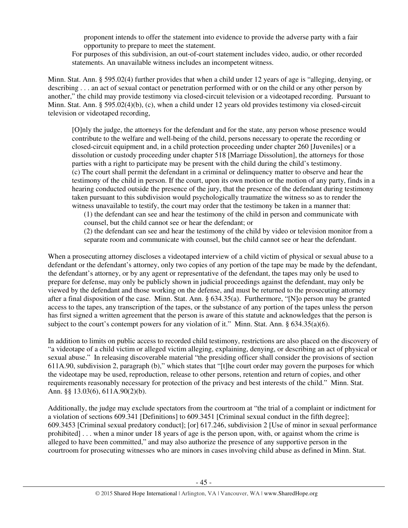proponent intends to offer the statement into evidence to provide the adverse party with a fair opportunity to prepare to meet the statement.

For purposes of this subdivision, an out-of-court statement includes video, audio, or other recorded statements. An unavailable witness includes an incompetent witness.

Minn. Stat. Ann. § 595.02(4) further provides that when a child under 12 years of age is "alleging, denying, or describing . . . an act of sexual contact or penetration performed with or on the child or any other person by another," the child may provide testimony via closed-circuit television or a videotaped recording. Pursuant to Minn. Stat. Ann. § 595.02(4)(b), (c), when a child under 12 years old provides testimony via closed-circuit television or videotaped recording,

[O]nly the judge, the attorneys for the defendant and for the state, any person whose presence would contribute to the welfare and well-being of the child, persons necessary to operate the recording or closed-circuit equipment and, in a child protection proceeding under chapter 260 [Juveniles] or a dissolution or custody proceeding under chapter 518 [Marriage Dissolution], the attorneys for those parties with a right to participate may be present with the child during the child's testimony. (c) The court shall permit the defendant in a criminal or delinquency matter to observe and hear the testimony of the child in person. If the court, upon its own motion or the motion of any party, finds in a hearing conducted outside the presence of the jury, that the presence of the defendant during testimony taken pursuant to this subdivision would psychologically traumatize the witness so as to render the witness unavailable to testify, the court may order that the testimony be taken in a manner that:

(1) the defendant can see and hear the testimony of the child in person and communicate with counsel, but the child cannot see or hear the defendant; or

(2) the defendant can see and hear the testimony of the child by video or television monitor from a separate room and communicate with counsel, but the child cannot see or hear the defendant.

When a prosecuting attorney discloses a videotaped interview of a child victim of physical or sexual abuse to a defendant or the defendant's attorney, only two copies of any portion of the tape may be made by the defendant, the defendant's attorney, or by any agent or representative of the defendant, the tapes may only be used to prepare for defense, may only be publicly shown in judicial proceedings against the defendant, may only be viewed by the defendant and those working on the defense, and must be returned to the prosecuting attorney after a final disposition of the case. Minn. Stat. Ann. § 634.35(a). Furthermore, "[N]o person may be granted access to the tapes, any transcription of the tapes, or the substance of any portion of the tapes unless the person has first signed a written agreement that the person is aware of this statute and acknowledges that the person is subject to the court's contempt powers for any violation of it." Minn. Stat. Ann. § 634.35(a)(6).

In addition to limits on public access to recorded child testimony, restrictions are also placed on the discovery of "a videotape of a child victim or alleged victim alleging, explaining, denying, or describing an act of physical or sexual abuse." In releasing discoverable material "the presiding officer shall consider the provisions of section 611A.90, subdivision 2, paragraph (b)," which states that "[t]he court order may govern the purposes for which the videotape may be used, reproduction, release to other persons, retention and return of copies, and other requirements reasonably necessary for protection of the privacy and best interests of the child." Minn. Stat. Ann. §§ 13.03(6), 611A.90(2)(b).

Additionally, the judge may exclude spectators from the courtroom at "the trial of a complaint or indictment for a violation of sections 609.341 [Definitions] to 609.3451 [Criminal sexual conduct in the fifth degree]; 609.3453 [Criminal sexual predatory conduct]; [or] 617.246, subdivision 2 [Use of minor in sexual performance prohibited] . . . when a minor under 18 years of age is the person upon, with, or against whom the crime is alleged to have been committed," and may also authorize the presence of any supportive person in the courtroom for prosecuting witnesses who are minors in cases involving child abuse as defined in Minn. Stat.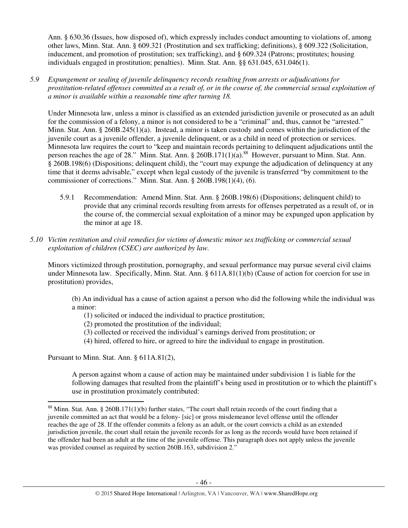Ann. § 630.36 (Issues, how disposed of), which expressly includes conduct amounting to violations of, among other laws, Minn. Stat. Ann. § 609.321 (Prostitution and sex trafficking; definitions), § 609.322 (Solicitation, inducement, and promotion of prostitution; sex trafficking), and § 609.324 (Patrons; prostitutes; housing individuals engaged in prostitution; penalties). Minn. Stat. Ann. §§ 631.045, 631.046(1).

*5.9 Expungement or sealing of juvenile delinquency records resulting from arrests or adjudications for prostitution-related offenses committed as a result of, or in the course of, the commercial sexual exploitation of a minor is available within a reasonable time after turning 18.* 

Under Minnesota law, unless a minor is classified as an extended jurisdiction juvenile or prosecuted as an adult for the commission of a felony, a minor is not considered to be a "criminal" and, thus, cannot be "arrested." Minn. Stat. Ann. § 260B.245(1)(a). Instead, a minor is taken custody and comes within the jurisdiction of the juvenile court as a juvenile offender, a juvenile delinquent, or as a child in need of protection or services. Minnesota law requires the court to "keep and maintain records pertaining to delinquent adjudications until the person reaches the age of 28." Minn. Stat. Ann. § 260B.171(1)(a).<sup>88</sup> However, pursuant to Minn. Stat. Ann. § 260B.198(6) (Dispositions; delinquent child), the "court may expunge the adjudication of delinquency at any time that it deems advisable," except when legal custody of the juvenile is transferred "by commitment to the commissioner of corrections." Minn. Stat. Ann. § 260B.198(1)(4), (6).

- 5.9.1 Recommendation: Amend Minn. Stat. Ann. § 260B.198(6) (Dispositions; delinquent child) to provide that any criminal records resulting from arrests for offenses perpetrated as a result of, or in the course of, the commercial sexual exploitation of a minor may be expunged upon application by the minor at age 18.
- *5.10 Victim restitution and civil remedies for victims of domestic minor sex trafficking or commercial sexual exploitation of children (CSEC) are authorized by law.*

Minors victimized through prostitution, pornography, and sexual performance may pursue several civil claims under Minnesota law. Specifically, Minn. Stat. Ann. § 611A.81(1)(b) (Cause of action for coercion for use in prostitution) provides,

(b) An individual has a cause of action against a person who did the following while the individual was a minor:

- (1) solicited or induced the individual to practice prostitution;
- (2) promoted the prostitution of the individual;
- (3) collected or received the individual's earnings derived from prostitution; or
- (4) hired, offered to hire, or agreed to hire the individual to engage in prostitution.

Pursuant to Minn. Stat. Ann. § 611A.81(2),

 $\overline{a}$ 

A person against whom a cause of action may be maintained under subdivision 1 is liable for the following damages that resulted from the plaintiff's being used in prostitution or to which the plaintiff's use in prostitution proximately contributed:

<sup>&</sup>lt;sup>88</sup> Minn. Stat. Ann. § 260B.171(1)(b) further states, "The court shall retain records of the court finding that a juvenile committed an act that would be a felony- [sic] or gross misdemeanor level offense until the offender reaches the age of 28. If the offender commits a felony as an adult, or the court convicts a child as an extended jurisdiction juvenile, the court shall retain the juvenile records for as long as the records would have been retained if the offender had been an adult at the time of the juvenile offense. This paragraph does not apply unless the juvenile was provided counsel as required by section 260B.163, subdivision 2."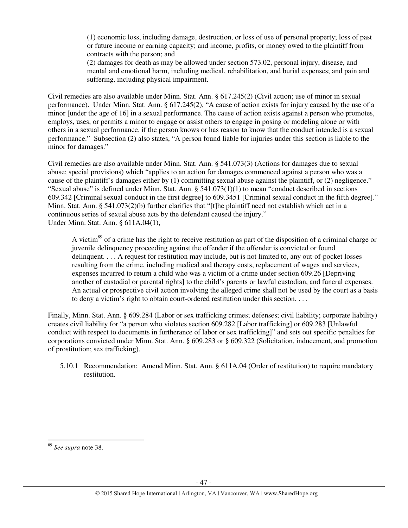(1) economic loss, including damage, destruction, or loss of use of personal property; loss of past or future income or earning capacity; and income, profits, or money owed to the plaintiff from contracts with the person; and

(2) damages for death as may be allowed under section 573.02, personal injury, disease, and mental and emotional harm, including medical, rehabilitation, and burial expenses; and pain and suffering, including physical impairment.

Civil remedies are also available under Minn. Stat. Ann. § 617.245(2) (Civil action; use of minor in sexual performance). Under Minn. Stat. Ann. § 617.245(2), "A cause of action exists for injury caused by the use of a minor [under the age of 16] in a sexual performance. The cause of action exists against a person who promotes, employs, uses, or permits a minor to engage or assist others to engage in posing or modeling alone or with others in a sexual performance, if the person knows or has reason to know that the conduct intended is a sexual performance." Subsection (2) also states, "A person found liable for injuries under this section is liable to the minor for damages."

Civil remedies are also available under Minn. Stat. Ann. § 541.073(3) (Actions for damages due to sexual abuse; special provisions) which "applies to an action for damages commenced against a person who was a cause of the plaintiff's damages either by (1) committing sexual abuse against the plaintiff, or (2) negligence." "Sexual abuse" is defined under Minn. Stat. Ann.  $\S$  541.073(1)(1) to mean "conduct described in sections 609.342 [Criminal sexual conduct in the first degree] to 609.3451 [Criminal sexual conduct in the fifth degree]." Minn. Stat. Ann. § 541.073(2)(b) further clarifies that "[t]he plaintiff need not establish which act in a continuous series of sexual abuse acts by the defendant caused the injury." Under Minn. Stat. Ann. § 611A.04(1),

A victim<sup>89</sup> of a crime has the right to receive restitution as part of the disposition of a criminal charge or juvenile delinquency proceeding against the offender if the offender is convicted or found delinquent. . . . A request for restitution may include, but is not limited to, any out-of-pocket losses resulting from the crime, including medical and therapy costs, replacement of wages and services, expenses incurred to return a child who was a victim of a crime under section 609.26 [Depriving another of custodial or parental rights] to the child's parents or lawful custodian, and funeral expenses. An actual or prospective civil action involving the alleged crime shall not be used by the court as a basis to deny a victim's right to obtain court-ordered restitution under this section. . . .

Finally, Minn. Stat. Ann. § 609.284 (Labor or sex trafficking crimes; defenses; civil liability; corporate liability) creates civil liability for "a person who violates section 609.282 [Labor trafficking] or 609.283 [Unlawful conduct with respect to documents in furtherance of labor or sex trafficking]" and sets out specific penalties for corporations convicted under Minn. Stat. Ann. § 609.283 or § 609.322 (Solicitation, inducement, and promotion of prostitution; sex trafficking).

5.10.1 Recommendation: Amend Minn. Stat. Ann. § 611A.04 (Order of restitution) to require mandatory restitution.

l

<sup>89</sup> *See supra* note 38.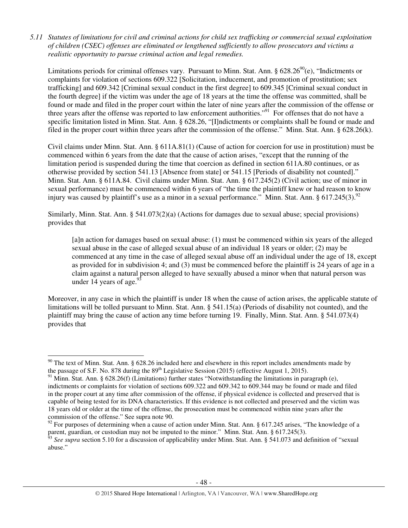*5.11 Statutes of limitations for civil and criminal actions for child sex trafficking or commercial sexual exploitation of children (CSEC) offenses are eliminated or lengthened sufficiently to allow prosecutors and victims a realistic opportunity to pursue criminal action and legal remedies.* 

Limitations periods for criminal offenses vary. Pursuant to Minn. Stat. Ann. §  $628.26^{90}$ (e), "Indictments or complaints for violation of sections 609.322 [Solicitation, inducement, and promotion of prostitution; sex trafficking] and 609.342 [Criminal sexual conduct in the first degree] to 609.345 [Criminal sexual conduct in the fourth degree] if the victim was under the age of 18 years at the time the offense was committed, shall be found or made and filed in the proper court within the later of nine years after the commission of the offense or three years after the offense was reported to law enforcement authorities."<sup>91</sup> For offenses that do not have a specific limitation listed in Minn. Stat. Ann. § 628.26, "[I]ndictments or complaints shall be found or made and filed in the proper court within three years after the commission of the offense." Minn. Stat. Ann. § 628.26(k).

Civil claims under Minn. Stat. Ann. § 611A.81(1) (Cause of action for coercion for use in prostitution) must be commenced within 6 years from the date that the cause of action arises, "except that the running of the limitation period is suspended during the time that coercion as defined in section 611A.80 continues, or as otherwise provided by section 541.13 [Absence from state] or 541.15 [Periods of disability not counted]." Minn. Stat. Ann. § 611A.84. Civil claims under Minn. Stat. Ann. § 617.245(2) (Civil action; use of minor in sexual performance) must be commenced within 6 years of "the time the plaintiff knew or had reason to know injury was caused by plaintiff's use as a minor in a sexual performance." Minn. Stat. Ann.  $\S 617.245(3).$ <sup>92</sup>

Similarly, Minn. Stat. Ann. § 541.073(2)(a) (Actions for damages due to sexual abuse; special provisions) provides that

[a]n action for damages based on sexual abuse: (1) must be commenced within six years of the alleged sexual abuse in the case of alleged sexual abuse of an individual 18 years or older; (2) may be commenced at any time in the case of alleged sexual abuse off an individual under the age of 18, except as provided for in subdivision 4; and (3) must be commenced before the plaintiff is 24 years of age in a claim against a natural person alleged to have sexually abused a minor when that natural person was under 14 years of age. $93$ 

Moreover, in any case in which the plaintiff is under 18 when the cause of action arises, the applicable statute of limitations will be tolled pursuant to Minn. Stat. Ann. § 541.15(a) (Periods of disability not counted), and the plaintiff may bring the cause of action any time before turning 19. Finally, Minn. Stat. Ann. § 541.073(4) provides that

l

 $90$  The text of Minn. Stat. Ann. § 628.26 included here and elsewhere in this report includes amendments made by the passage of S.F. No. 878 during the  $89<sup>th</sup>$  Legislative Session (2015) (effective August 1, 2015).

<sup>&</sup>lt;sup>91</sup> Minn. Stat. Ann. § 628.26(f) (Limitations) further states "Notwithstanding the limitations in paragraph (e), indictments or complaints for violation of sections 609.322 and 609.342 to 609.344 may be found or made and filed in the proper court at any time after commission of the offense, if physical evidence is collected and preserved that is capable of being tested for its DNA characteristics. If this evidence is not collected and preserved and the victim was 18 years old or older at the time of the offense, the prosecution must be commenced within nine years after the commission of the offense." See supra note 90.

 $92$  For purposes of determining when a cause of action under Minn. Stat. Ann. § 617.245 arises, "The knowledge of a parent, guardian, or custodian may not be imputed to the minor." Minn. Stat. Ann. § 617.245(3).

<sup>&</sup>lt;sup>53</sup> See supra section 5.10 for a discussion of applicability under Minn. Stat. Ann. § 541.073 and definition of "sexual abuse."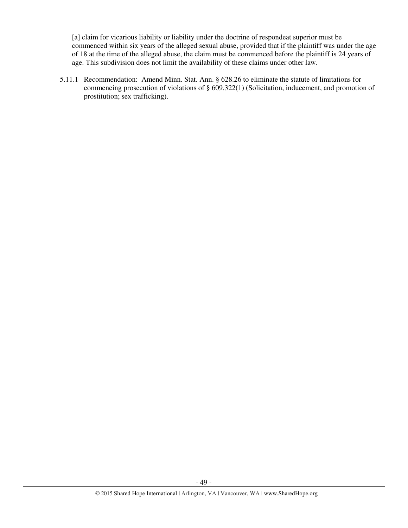[a] claim for vicarious liability or liability under the doctrine of respondeat superior must be commenced within six years of the alleged sexual abuse, provided that if the plaintiff was under the age of 18 at the time of the alleged abuse, the claim must be commenced before the plaintiff is 24 years of age. This subdivision does not limit the availability of these claims under other law.

5.11.1 Recommendation: Amend Minn. Stat. Ann. § 628.26 to eliminate the statute of limitations for commencing prosecution of violations of § 609.322(1) (Solicitation, inducement, and promotion of prostitution; sex trafficking).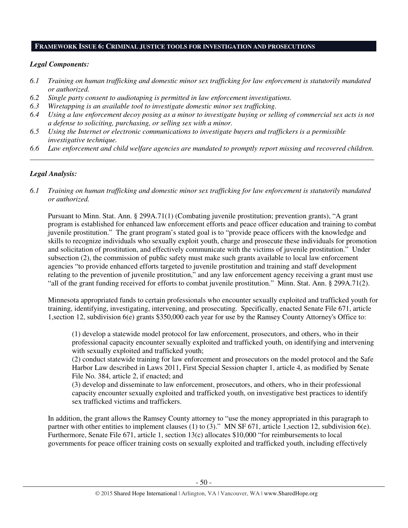#### **FRAMEWORK ISSUE 6: CRIMINAL JUSTICE TOOLS FOR INVESTIGATION AND PROSECUTIONS**

# *Legal Components:*

- *6.1 Training on human trafficking and domestic minor sex trafficking for law enforcement is statutorily mandated or authorized.*
- *6.2 Single party consent to audiotaping is permitted in law enforcement investigations.*
- *6.3 Wiretapping is an available tool to investigate domestic minor sex trafficking.*
- *6.4 Using a law enforcement decoy posing as a minor to investigate buying or selling of commercial sex acts is not a defense to soliciting, purchasing, or selling sex with a minor.*
- *6.5 Using the Internet or electronic communications to investigate buyers and traffickers is a permissible investigative technique.*
- *6.6 Law enforcement and child welfare agencies are mandated to promptly report missing and recovered children. \_\_\_\_\_\_\_\_\_\_\_\_\_\_\_\_\_\_\_\_\_\_\_\_\_\_\_\_\_\_\_\_\_\_\_\_\_\_\_\_\_\_\_\_\_\_\_\_\_\_\_\_\_\_\_\_\_\_\_\_\_\_\_\_\_\_\_\_\_\_\_\_\_\_\_\_\_\_\_\_\_\_\_\_\_\_\_\_\_\_\_\_\_\_*

# *Legal Analysis:*

*6.1 Training on human trafficking and domestic minor sex trafficking for law enforcement is statutorily mandated or authorized.*

Pursuant to Minn. Stat. Ann. § 299A.71(1) (Combating juvenile prostitution; prevention grants), "A grant program is established for enhanced law enforcement efforts and peace officer education and training to combat juvenile prostitution." The grant program's stated goal is to "provide peace officers with the knowledge and skills to recognize individuals who sexually exploit youth, charge and prosecute these individuals for promotion and solicitation of prostitution, and effectively communicate with the victims of juvenile prostitution." Under subsection (2), the commission of public safety must make such grants available to local law enforcement agencies "to provide enhanced efforts targeted to juvenile prostitution and training and staff development relating to the prevention of juvenile prostitution," and any law enforcement agency receiving a grant must use "all of the grant funding received for efforts to combat juvenile prostitution." Minn. Stat. Ann. § 299A.71(2).

Minnesota appropriated funds to certain professionals who encounter sexually exploited and trafficked youth for training, identifying, investigating, intervening, and prosecuting. Specifically, enacted Senate File 671, article 1,section 12, subdivision 6(e) grants \$350,000 each year for use by the Ramsey County Attorney's Office to:

(1) develop a statewide model protocol for law enforcement, prosecutors, and others, who in their professional capacity encounter sexually exploited and trafficked youth, on identifying and intervening with sexually exploited and trafficked youth;

(2) conduct statewide training for law enforcement and prosecutors on the model protocol and the Safe Harbor Law described in Laws 2011, First Special Session chapter 1, article 4, as modified by Senate File No. 384, article 2, if enacted; and

(3) develop and disseminate to law enforcement, prosecutors, and others, who in their professional capacity encounter sexually exploited and trafficked youth, on investigative best practices to identify sex trafficked victims and traffickers.

In addition, the grant allows the Ramsey County attorney to "use the money appropriated in this paragraph to partner with other entities to implement clauses (1) to (3)." MN SF 671, article 1, section 12, subdivision 6(e). Furthermore, Senate File 671, article 1, section 13(c) allocates \$10,000 "for reimbursements to local governments for peace officer training costs on sexually exploited and trafficked youth, including effectively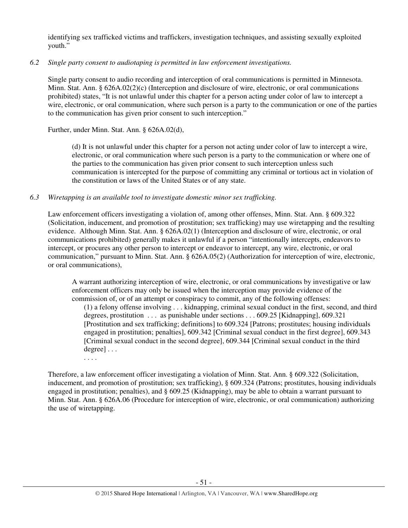identifying sex trafficked victims and traffickers, investigation techniques, and assisting sexually exploited youth."

# *6.2 Single party consent to audiotaping is permitted in law enforcement investigations.*

Single party consent to audio recording and interception of oral communications is permitted in Minnesota. Minn. Stat. Ann. § 626A.02(2)(c) (Interception and disclosure of wire, electronic, or oral communications prohibited) states, "It is not unlawful under this chapter for a person acting under color of law to intercept a wire, electronic, or oral communication, where such person is a party to the communication or one of the parties to the communication has given prior consent to such interception."

Further, under Minn. Stat. Ann. § 626A.02(d),

(d) It is not unlawful under this chapter for a person not acting under color of law to intercept a wire, electronic, or oral communication where such person is a party to the communication or where one of the parties to the communication has given prior consent to such interception unless such communication is intercepted for the purpose of committing any criminal or tortious act in violation of the constitution or laws of the United States or of any state.

*6.3 Wiretapping is an available tool to investigate domestic minor sex trafficking.* 

Law enforcement officers investigating a violation of, among other offenses, Minn. Stat. Ann. § 609.322 (Solicitation, inducement, and promotion of prostitution; sex trafficking) may use wiretapping and the resulting evidence. Although Minn. Stat. Ann. § 626A.02(1) (Interception and disclosure of wire, electronic, or oral communications prohibited) generally makes it unlawful if a person "intentionally intercepts, endeavors to intercept, or procures any other person to intercept or endeavor to intercept, any wire, electronic, or oral communication," pursuant to Minn. Stat. Ann. § 626A.05(2) (Authorization for interception of wire, electronic, or oral communications),

A warrant authorizing interception of wire, electronic, or oral communications by investigative or law enforcement officers may only be issued when the interception may provide evidence of the commission of, or of an attempt or conspiracy to commit, any of the following offenses: (1) a felony offense involving . . . kidnapping, criminal sexual conduct in the first, second, and third degrees, prostitution . . . as punishable under sections . . . 609.25 [Kidnapping], 609.321 [Prostitution and sex trafficking; definitions] to 609.324 [Patrons; prostitutes; housing individuals engaged in prostitution; penalties], 609.342 [Criminal sexual conduct in the first degree], 609.343 [Criminal sexual conduct in the second degree], 609.344 [Criminal sexual conduct in the third

degree] . . .

. . . .

Therefore, a law enforcement officer investigating a violation of Minn. Stat. Ann. § 609.322 (Solicitation, inducement, and promotion of prostitution; sex trafficking), § 609.324 (Patrons; prostitutes, housing individuals engaged in prostitution; penalties), and § 609.25 (Kidnapping), may be able to obtain a warrant pursuant to Minn. Stat. Ann. § 626A.06 (Procedure for interception of wire, electronic, or oral communication) authorizing the use of wiretapping.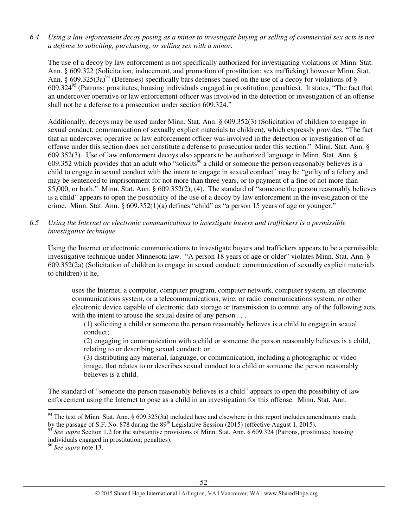*6.4 Using a law enforcement decoy posing as a minor to investigate buying or selling of commercial sex acts is not a defense to soliciting, purchasing, or selling sex with a minor.* 

The use of a decoy by law enforcement is not specifically authorized for investigating violations of Minn. Stat. Ann. § 609.322 (Solicitation, inducement, and promotion of prostitution; sex trafficking) however Minn. Stat. Ann. § 609.325(3a)<sup>94</sup> (Defenses) specifically bars defenses based on the use of a decoy for violations of §  $609.324<sup>95</sup>$  (Patrons; prostitutes; housing individuals engaged in prostitution; penalties). It states, "The fact that an undercover operative or law enforcement officer was involved in the detection or investigation of an offense shall not be a defense to a prosecution under section 609.324."

Additionally, decoys may be used under Minn. Stat. Ann. § 609.352(3) (Solicitation of children to engage in sexual conduct; communication of sexually explicit materials to children), which expressly provides, "The fact that an undercover operative or law enforcement officer was involved in the detection or investigation of an offense under this section does not constitute a defense to prosecution under this section." Minn. Stat. Ann. § 609.352(3). Use of law enforcement decoys also appears to be authorized language in Minn. Stat. Ann. § 609.352 which provides that an adult who "solicits<sup>96</sup> a child or someone the person reasonably believes is a child to engage in sexual conduct with the intent to engage in sexual conduct" may be "guilty of a felony and may be sentenced to imprisonment for not more than three years, or to payment of a fine of not more than \$5,000, or both." Minn. Stat. Ann. § 609.352(2), (4). The standard of "someone the person reasonably believes is a child" appears to open the possibility of the use of a decoy by law enforcement in the investigation of the crime. Minn. Stat. Ann. § 609.352(1)(a) defines "child" as "a person 15 years of age or younger."

*6.5 Using the Internet or electronic communications to investigate buyers and traffickers is a permissible investigative technique.* 

Using the Internet or electronic communications to investigate buyers and traffickers appears to be a permissible investigative technique under Minnesota law. "A person 18 years of age or older" violates Minn. Stat. Ann. § 609.352(2a) (Solicitation of children to engage in sexual conduct; communication of sexually explicit materials to children) if he,

uses the Internet, a computer, computer program, computer network, computer system, an electronic communications system, or a telecommunications, wire, or radio communications system, or other electronic device capable of electronic data storage or transmission to commit any of the following acts, with the intent to arouse the sexual desire of any person . . .

(1) soliciting a child or someone the person reasonably believes is a child to engage in sexual conduct;

(2) engaging in communication with a child or someone the person reasonably believes is a child, relating to or describing sexual conduct; or

(3) distributing any material, language, or communication, including a photographic or video image, that relates to or describes sexual conduct to a child or someone the person reasonably believes is a child.

The standard of "someone the person reasonably believes is a child" appears to open the possibility of law enforcement using the Internet to pose as a child in an investigation for this offense. Minn. Stat. Ann. l

 $94$  The text of Minn. Stat. Ann. § 609.325(3a) included here and elsewhere in this report includes amendments made by the passage of S.F. No. 878 during the 89<sup>th</sup> Legislative Session (2015) (effective August 1, 2015).

<sup>&</sup>lt;sup>95</sup> See supra Section 1.2 for the substantive provisions of Minn. Stat. Ann. § 609.324 (Patrons, prostitutes; housing individuals engaged in prostitution; penalties).

<sup>96</sup> *See supra* note 13.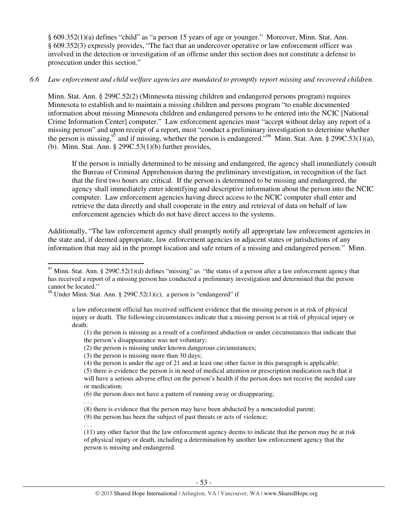§ 609.352(1)(a) defines "child" as "a person 15 years of age or younger." Moreover, Minn. Stat. Ann. § 609.352(3) expressly provides, "The fact that an undercover operative or law enforcement officer was involved in the detection or investigation of an offense under this section does not constitute a defense to prosecution under this section."

## *6.6 Law enforcement and child welfare agencies are mandated to promptly report missing and recovered children.*

Minn. Stat. Ann. § 299C.52(2) (Minnesota missing children and endangered persons program) requires Minnesota to establish and to maintain a missing children and persons program "to enable documented information about missing Minnesota children and endangered persons to be entered into the NCIC [National Crime Information Center] computer." Law enforcement agencies must "accept without delay any report of a missing person" and upon receipt of a report, must "conduct a preliminary investigation to determine whether the person is missing,<sup>97</sup> and if missing, whether the person is endangered.<sup>"98</sup> Minn. Stat. Ann. § 299C.53(1)(a), (b). Minn. Stat. Ann.  $\S 299C.53(1)(b)$  further provides,

If the person is initially determined to be missing and endangered, the agency shall immediately consult the Bureau of Criminal Apprehension during the preliminary investigation, in recognition of the fact that the first two hours are critical. If the person is determined to be missing and endangered, the agency shall immediately enter identifying and descriptive information about the person into the NCIC computer. Law enforcement agencies having direct access to the NCIC computer shall enter and retrieve the data directly and shall cooperate in the entry and retrieval of data on behalf of law enforcement agencies which do not have direct access to the systems.

Additionally, "The law enforcement agency shall promptly notify all appropriate law enforcement agencies in the state and, if deemed appropriate, law enforcement agencies in adjacent states or jurisdictions of any information that may aid in the prompt location and safe return of a missing and endangered person." Minn.

(1) the person is missing as a result of a confirmed abduction or under circumstances that indicate that the person's disappearance was not voluntary;

(4) the person is under the age of 21 and at least one other factor in this paragraph is applicable;

l

 $97$  Minn. Stat. Ann. § 299C.52(1)(d) defines "missing" as "the status of a person after a law enforcement agency that has received a report of a missing person has conducted a preliminary investigation and determined that the person cannot be located."

<sup>&</sup>lt;sup>98</sup> Under Minn. Stat. Ann. § 299C.52(1)(c), a person is "endangered" if

a law enforcement official has received sufficient evidence that the missing person is at risk of physical injury or death. The following circumstances indicate that a missing person is at risk of physical injury or death:

<sup>(2)</sup> the person is missing under known dangerous circumstances;

<sup>(3)</sup> the person is missing more than 30 days;

<sup>(5)</sup> there is evidence the person is in need of medical attention or prescription medication such that it will have a serious adverse effect on the person's health if the person does not receive the needed care or medication;

<sup>(6)</sup> the person does not have a pattern of running away or disappearing;

<sup>. . .</sup> 

<sup>(8)</sup> there is evidence that the person may have been abducted by a noncustodial parent;

<sup>(9)</sup> the person has been the subject of past threats or acts of violence;

<sup>. . .</sup> 

<sup>(11)</sup> any other factor that the law enforcement agency deems to indicate that the person may be at risk of physical injury or death, including a determination by another law enforcement agency that the person is missing and endangered.